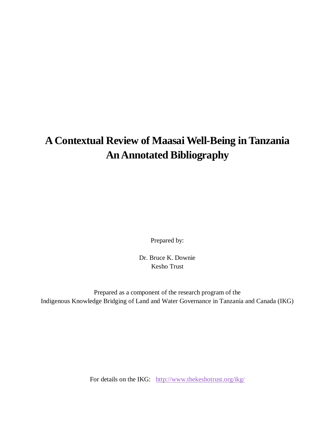# **A Contextual Review of Maasai Well-Being in Tanzania An Annotated Bibliography**

Prepared by:

Dr. Bruce K. Downie Kesho Trust

Prepared as a component of the research program of the Indigenous Knowledge Bridging of Land and Water Governance in Tanzania and Canada (IKG)

For details on the IKG: http://www.thekeshotrust.org/ikg/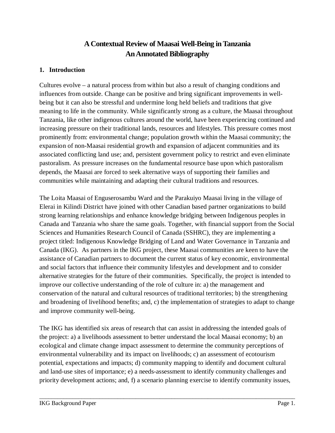## **A Contextual Review of Maasai Well-Being in Tanzania An Annotated Bibliography**

#### **1. Introduction**

Cultures evolve – a natural process from within but also a result of changing conditions and influences from outside. Change can be positive and bring significant improvements in wellbeing but it can also be stressful and undermine long held beliefs and traditions that give meaning to life in the community. While significantly strong as a culture, the Maasai throughout Tanzania, like other indigenous cultures around the world, have been experiencing continued and increasing pressure on their traditional lands, resources and lifestyles. This pressure comes most prominently from: environmental change; population growth within the Maasai community; the expansion of non-Maasai residential growth and expansion of adjacent communities and its associated conflicting land use; and, persistent government policy to restrict and even eliminate pastoralism. As pressure increases on the fundamental resource base upon which pastoralism depends, the Maasai are forced to seek alternative ways of supporting their families and communities while maintaining and adapting their cultural traditions and resources.

The Loita Maasai of Enguserosambu Ward and the Parakuiyo Maasai living in the village of Elerai in Kilindi District have joined with other Canadian based partner organizations to build strong learning relationships and enhance knowledge bridging between Indigenous peoples in Canada and Tanzania who share the same goals. Together, with financial support from the Social Sciences and Humanities Research Council of Canada (SSHRC), they are implementing a project titled: Indigenous Knowledge Bridging of Land and Water Governance in Tanzania and Canada (IKG). As partners in the IKG project, these Maasai communities are keen to have the assistance of Canadian partners to document the current status of key economic, environmental and social factors that influence their community lifestyles and development and to consider alternative strategies for the future of their communities. Specifically, the project is intended to improve our collective understanding of the role of culture in: a) the management and conservation of the natural and cultural resources of traditional territories; b) the strengthening and broadening of livelihood benefits; and, c) the implementation of strategies to adapt to change and improve community well-being.

The IKG has identified six areas of research that can assist in addressing the intended goals of the project: a) a livelihoods assessment to better understand the local Maasai economy; b) an ecological and climate change impact assessment to determine the community perceptions of environmental vulnerability and its impact on livelihoods; c) an assessment of ecotourism potential, expectations and impacts; d) community mapping to identify and document cultural and land-use sites of importance; e) a needs-assessment to identify community challenges and priority development actions; and, f) a scenario planning exercise to identify community issues,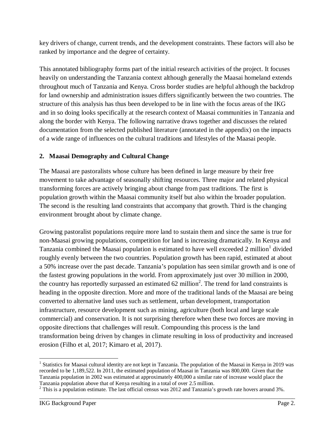key drivers of change, current trends, and the development constraints. These factors will also be ranked by importance and the degree of certainty.

This annotated bibliography forms part of the initial research activities of the project. It focuses heavily on understanding the Tanzania context although generally the Maasai homeland extends throughout much of Tanzania and Kenya. Cross border studies are helpful although the backdrop for land ownership and administration issues differs significantly between the two countries. The structure of this analysis has thus been developed to be in line with the focus areas of the IKG and in so doing looks specifically at the research context of Maasai communities in Tanzania and along the border with Kenya. The following narrative draws together and discusses the related documentation from the selected published literature (annotated in the appendix) on the impacts of a wide range of influences on the cultural traditions and lifestyles of the Maasai people.

### **2. Maasai Demography and Cultural Change**

The Maasai are pastoralists whose culture has been defined in large measure by their free movement to take advantage of seasonally shifting resources. Three major and related physical transforming forces are actively bringing about change from past traditions. The first is population growth within the Maasai community itself but also within the broader population. The second is the resulting land constraints that accompany that growth. Third is the changing environment brought about by climate change.

Growing pastoralist populations require more land to sustain them and since the same is true for non-Maasai growing populations, competition for land is increasing dramatically. In Kenya and Tanzania combined the Maasai population is estimated to have well exceeded 2 million<sup>1</sup> divided roughly evenly between the two countries. Population growth has been rapid, estimated at about a 50% increase over the past decade. Tanzania's population has seen similar growth and is one of the fastest growing populations in the world. From approximately just over 30 million in 2000, the country has reportedly surpassed an estimated  $62$  million<sup>2</sup>. The trend for land constraints is heading in the opposite direction. More and more of the traditional lands of the Maasai are being converted to alternative land uses such as settlement, urban development, transportation infrastructure, resource development such as mining, agriculture (both local and large scale commercial) and conservation. It is not surprising therefore when these two forces are moving in opposite directions that challenges will result. Compounding this process is the land transformation being driven by changes in climate resulting in loss of productivity and increased erosion (Filho et al, 2017; Kimaro et al, 2017).

<sup>1&</sup>lt;br><sup>1</sup> Statistics for Maasai cultural identity are not kept in Tanzania. The population of the Maasai in Kenya in 2019 was recorded to be 1,189,522. In 2011, the estimated population of Maasai in Tanzania was 800,000. Given that the Tanzania population in 2002 was estimated at approximately 400,000 a similar rate of increase would place the

Tanzania population above that of Kenya resulting in a total of over 2.5 million.<br><sup>2</sup> This is a population estimate. The last official census was 2012 and Tanzania's growth rate hovers around 3%.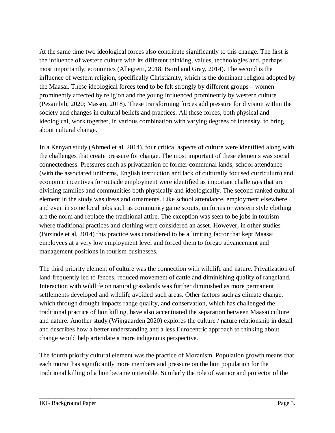At the same time two ideological forces also contribute significantly to this change. The first is the influence of western culture with its different thinking, values, technologies and, perhaps most importantly, economics (Allegretti, 2018; Baird and Gray, 2014). The second is the influence of western religion, specifically Christianity, which is the dominant religion adopted by the Maasai. These ideological forces tend to be felt strongly by different groups – women prominently affected by religion and the young influenced prominently by western culture (Pesambili, 2020; Massoi, 2018). These transforming forces add pressure for division within the society and changes in cultural beliefs and practices. All these forces, both physical and ideological, work together, in various combination with varying degrees of intensity, to bring about cultural change.

In a Kenyan study (Ahmed et al, 2014), four critical aspects of culture were identified along with the challenges that create pressure for change. The most important of these elements was social connectedness. Pressures such as privatization of former communal lands, school attendance (with the associated uniforms, English instruction and lack of culturally focused curriculum) and economic incentives for outside employment were identified as important challenges that are dividing families and communities both physically and ideologically. The second ranked cultural element in the study was dress and ornaments. Like school attendance, employment elsewhere and even in some local jobs such as community game scouts, uniforms or western style clothing are the norm and replace the traditional attire. The exception was seen to be jobs in tourism where traditional practices and clothing were considered an asset. However, in other studies (Buzinde et al, 2014) this practice was considered to be a limiting factor that kept Maasai employees at a very low employment level and forced them to forego advancement and management positions in tourism businesses.

The third priority element of culture was the connection with wildlife and nature. Privatization of land frequently led to fences, reduced movement of cattle and diminishing quality of rangeland. Interaction with wildlife on natural grasslands was further diminished as more permanent settlements developed and wildlife avoided such areas. Other factors such as climate change, which through drought impacts range quality, and conservation, which has challenged the traditional practice of lion killing, have also accentuated the separation between Maasai culture and nature. Another study (Wijngaarden 2020) explores the culture / nature relationship in detail and describes how a better understanding and a less Eurocentric approach to thinking about change would help articulate a more indigenous perspective.

The fourth priority cultural element was the practice of Moranism. Population growth means that each moran has significantly more members and pressure on the lion population for the traditional killing of a lion became untenable. Similarly the role of warrior and protector of the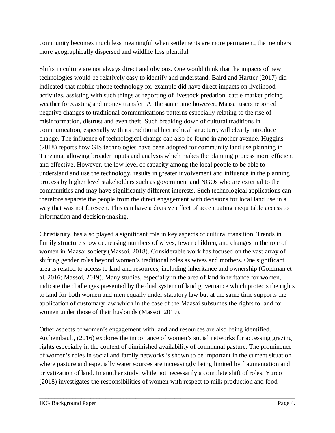community becomes much less meaningful when settlements are more permanent, the members more geographically dispersed and wildlife less plentiful.

Shifts in culture are not always direct and obvious. One would think that the impacts of new technologies would be relatively easy to identify and understand. Baird and Hartter (2017) did indicated that mobile phone technology for example did have direct impacts on livelihood activities, assisting with such things as reporting of livestock predation, cattle market pricing weather forecasting and money transfer. At the same time however, Maasai users reported negative changes to traditional communications patterns especially relating to the rise of misinformation, distrust and even theft. Such breaking down of cultural traditions in communication, especially with its traditional hierarchical structure, will clearly introduce change. The influence of technological change can also be found in another avenue. Huggins (2018) reports how GIS technologies have been adopted for community land use planning in Tanzania, allowing broader inputs and analysis which makes the planning process more efficient and effective. However, the low level of capacity among the local people to be able to understand and use the technology, results in greater involvement and influence in the planning process by higher level stakeholders such as government and NGOs who are external to the communities and may have significantly different interests. Such technological applications can therefore separate the people from the direct engagement with decisions for local land use in a way that was not foreseen. This can have a divisive effect of accentuating inequitable access to information and decision-making.

Christianity, has also played a significant role in key aspects of cultural transition. Trends in family structure show decreasing numbers of wives, fewer children, and changes in the role of women in Maasai society (Massoi, 2018). Considerable work has focused on the vast array of shifting gender roles beyond women's traditional roles as wives and mothers. One significant area is related to access to land and resources, including inheritance and ownership (Goldman et al, 2016; Massoi, 2019). Many studies, especially in the area of land inheritance for women, indicate the challenges presented by the dual system of land governance which protects the rights to land for both women and men equally under statutory law but at the same time supports the application of customary law which in the case of the Maasai subsumes the rights to land for women under those of their husbands (Massoi, 2019).

Other aspects of women's engagement with land and resources are also being identified. Archembault, (2016) explores the importance of women's social networks for accessing grazing rights especially in the context of diminished availability of communal pasture. The prominence of women's roles in social and family networks is shown to be important in the current situation where pasture and especially water sources are increasingly being limited by fragmentation and privatization of land. In another study, while not necessarily a complete shift of roles, Yurco (2018) investigates the responsibilities of women with respect to milk production and food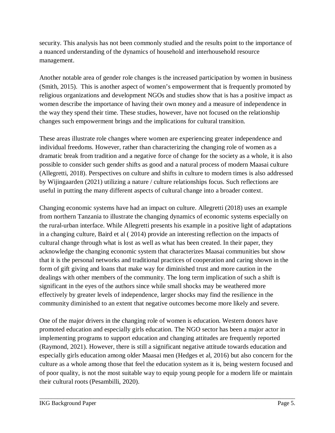security. This analysis has not been commonly studied and the results point to the importance of a nuanced understanding of the dynamics of household and interhousehold resource management.

Another notable area of gender role changes is the increased participation by women in business (Smith, 2015). This is another aspect of women's empowerment that is frequently promoted by religious organizations and development NGOs and studies show that is has a positive impact as women describe the importance of having their own money and a measure of independence in the way they spend their time. These studies, however, have not focused on the relationship changes such empowerment brings and the implications for cultural transition.

These areas illustrate role changes where women are experiencing greater independence and individual freedoms. However, rather than characterizing the changing role of women as a dramatic break from tradition and a negative force of change for the society as a whole, it is also possible to consider such gender shifts as good and a natural process of modern Maasai culture (Allegretti, 2018). Perspectives on culture and shifts in culture to modern times is also addressed by Wijingaarden (2021) utilizing a nature / culture relationships focus. Such reflections are useful in putting the many different aspects of cultural change into a broader context.

Changing economic systems have had an impact on culture. Allegretti (2018) uses an example from northern Tanzania to illustrate the changing dynamics of economic systems especially on the rural-urban interface. While Allegretti presents his example in a positive light of adaptations in a changing culture, Baird et al ( 2014) provide an interesting reflection on the impacts of cultural change through what is lost as well as what has been created. In their paper, they acknowledge the changing economic system that characterizes Maasai communities but show that it is the personal networks and traditional practices of cooperation and caring shown in the form of gift giving and loans that make way for diminished trust and more caution in the dealings with other members of the community. The long term implication of such a shift is significant in the eyes of the authors since while small shocks may be weathered more effectively by greater levels of independence, larger shocks may find the resilience in the community diminished to an extent that negative outcomes become more likely and severe.

One of the major drivers in the changing role of women is education. Western donors have promoted education and especially girls education. The NGO sector has been a major actor in implementing programs to support education and changing attitudes are frequently reported (Raymond, 2021). However, there is still a significant negative attitude towards education and especially girls education among older Maasai men (Hedges et al, 2016) but also concern for the culture as a whole among those that feel the education system as it is, being western focused and of poor quality, is not the most suitable way to equip young people for a modern life or maintain their cultural roots (Pesambilli, 2020).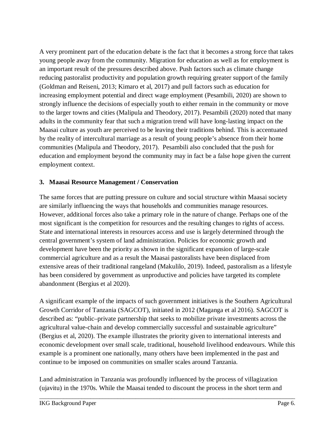A very prominent part of the education debate is the fact that it becomes a strong force that takes young people away from the community. Migration for education as well as for employment is an important result of the pressures described above. Push factors such as climate change reducing pastoralist productivity and population growth requiring greater support of the family (Goldman and Reiseni, 2013; Kimaro et al, 2017) and pull factors such as education for increasing employment potential and direct wage employment (Pesambili, 2020) are shown to strongly influence the decisions of especially youth to either remain in the community or move to the larger towns and cities (Malipula and Theodory, 2017). Pesambili (2020) noted that many adults in the community fear that such a migration trend will have long-lasting impact on the Maasai culture as youth are perceived to be leaving their traditions behind. This is accentuated by the reality of intercultural marriage as a result of young people's absence from their home communities (Malipula and Theodory, 2017). Pesambili also concluded that the push for education and employment beyond the community may in fact be a false hope given the current employment context.

#### **3. Maasai Resource Management / Conservation**

The same forces that are putting pressure on culture and social structure within Maasai society are similarly influencing the ways that households and communities manage resources. However, additional forces also take a primary role in the nature of change. Perhaps one of the most significant is the competition for resources and the resulting changes to rights of access. State and international interests in resources access and use is largely determined through the central government's system of land administration. Policies for economic growth and development have been the priority as shown in the significant expansion of large-scale commercial agriculture and as a result the Maasai pastoralists have been displaced from extensive areas of their traditional rangeland (Makulilo, 2019). Indeed, pastoralism as a lifestyle has been considered by government as unproductive and policies have targeted its complete abandonment (Bergius et al 2020).

A significant example of the impacts of such government initiatives is the Southern Agricultural Growth Corridor of Tanzania (SAGCOT), initiated in 2012 (Maganga et al 2016). SAGCOT is described as: "public–private partnership that seeks to mobilize private investments across the agricultural value-chain and develop commercially successful and sustainable agriculture" (Bergius et al, 2020). The example illustrates the priority given to international interests and economic development over small scale, traditional, household livelihood endeavours. While this example is a prominent one nationally, many others have been implemented in the past and continue to be imposed on communities on smaller scales around Tanzania.

Land administration in Tanzania was profoundly influenced by the process of villagization (ujavitu) in the 1970s. While the Maasai tended to discount the process in the short term and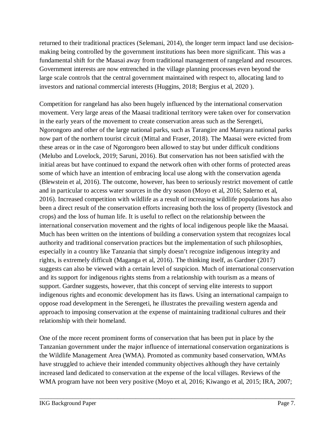returned to their traditional practices (Selemani, 2014), the longer term impact land use decisionmaking being controlled by the government institutions has been more significant. This was a fundamental shift for the Maasai away from traditional management of rangeland and resources. Government interests are now entrenched in the village planning processes even beyond the large scale controls that the central government maintained with respect to, allocating land to investors and national commercial interests (Huggins, 2018; Bergius et al, 2020 ).

Competition for rangeland has also been hugely influenced by the international conservation movement. Very large areas of the Maasai traditional territory were taken over for conservation in the early years of the movement to create conservation areas such as the Serengeti, Ngorongoro and other of the large national parks, such as Tarangire and Manyara national parks now part of the northern tourist circuit (Mittal and Fraser, 2018). The Maasai were evicted from these areas or in the case of Ngorongoro been allowed to stay but under difficult conditions (Melubo and Lovelock, 2019; Saruni, 2016). But conservation has not been satisfied with the initial areas but have continued to expand the network often with other forms of protected areas some of which have an intention of embracing local use along with the conservation agenda (Blewstein et al, 2016). The outcome, however, has been to seriously restrict movement of cattle and in particular to access water sources in the dry season (Moyo et al, 2016; Salerno et al, 2016). Increased competition with wildlife as a result of increasing wildlife populations has also been a direct result of the conservation efforts increasing both the loss of property (livestock and crops) and the loss of human life. It is useful to reflect on the relationship between the international conservation movement and the rights of local indigenous people like the Maasai. Much has been written on the intentions of building a conservation system that recognizes local authority and traditional conservation practices but the implementation of such philosophies, especially in a country like Tanzania that simply doesn't recognize indigenous integrity and rights, is extremely difficult (Maganga et al, 2016). The thinking itself, as Gardner (2017) suggests can also be viewed with a certain level of suspicion. Much of international conservation and its support for indigenous rights stems from a relationship with tourism as a means of support. Gardner suggests, however, that this concept of serving elite interests to support indigenous rights and economic development has its flaws. Using an international campaign to oppose road development in the Serengeti, he illustrates the prevailing western agenda and approach to imposing conservation at the expense of maintaining traditional cultures and their relationship with their homeland.

One of the more recent prominent forms of conservation that has been put in place by the Tanzanian government under the major influence of international conservation organizations is the Wildlife Management Area (WMA). Promoted as community based conservation, WMAs have struggled to achieve their intended community objectives although they have certainly increased land dedicated to conservation at the expense of the local villages. Reviews of the WMA program have not been very positive (Moyo et al, 2016; Kiwango et al, 2015; IRA, 2007;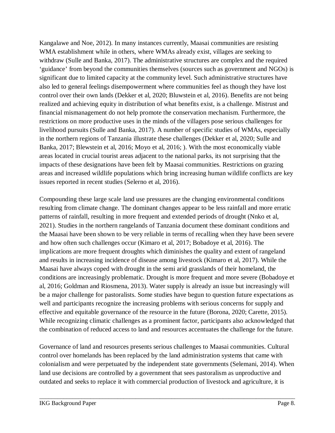Kangalawe and Noe, 2012). In many instances currently, Maasai communities are resisting WMA establishment while in others, where WMAs already exist, villages are seeking to withdraw (Sulle and Banka, 2017). The administrative structures are complex and the required 'guidance' from beyond the communities themselves (sources such as government and NGOs) is significant due to limited capacity at the community level. Such administrative structures have also led to general feelings disempowerment where communities feel as though they have lost control over their own lands (Dekker et al, 2020; Bluwstein et al, 2016). Benefits are not being realized and achieving equity in distribution of what benefits exist, is a challenge. Mistrust and financial mismanagement do not help promote the conservation mechanism. Furthermore, the restrictions on more productive uses in the minds of the villagers pose serious challenges for livelihood pursuits (Sulle and Banka, 2017). A number of specific studies of WMAs, especially in the northern regions of Tanzania illustrate these challenges (Dekker et al, 2020; Sulle and Banka, 2017; Blewstein et al, 2016; Moyo et al, 2016; ). With the most economically viable areas located in crucial tourist areas adjacent to the national parks, its not surprising that the impacts of these designations have been felt by Maasai communities. Restrictions on grazing areas and increased wildlife populations which bring increasing human wildlife conflicts are key issues reported in recent studies (Selerno et al, 2016).

Compounding these large scale land use pressures are the changing environmental conditions resulting from climate change. The dominant changes appear to be less rainfall and more erratic patterns of rainfall, resulting in more frequent and extended periods of drought (Nnko et al, 2021). Studies in the northern rangelands of Tanzania document these dominant conditions and the Maasai have been shown to be very reliable in terms of recalling when they have been severe and how often such challenges occur (Kimaro et al, 2017; Bobadoye et al, 2016). The implications are more frequent droughts which diminishes the quality and extent of rangeland and results in increasing incidence of disease among livestock (Kimaro et al, 2017). While the Maasai have always coped with drought in the semi arid grasslands of their homeland, the conditions are increasingly problematic. Drought is more frequent and more severe (Bobadoye et al, 2016; Goldman and Riosmena, 2013). Water supply is already an issue but increasingly will be a major challenge for pastoralists. Some studies have begun to question future expectations as well and participants recognize the increasing problems with serious concerns for supply and effective and equitable governance of the resource in the future (Borona, 2020; Carette, 2015). While recognizing climatic challenges as a prominent factor, participants also acknowledged that the combination of reduced access to land and resources accentuates the challenge for the future.

Governance of land and resources presents serious challenges to Maasai communities. Cultural control over homelands has been replaced by the land administration systems that came with colonialism and were perpetuated by the independent state governments (Selemani, 2014). When land use decisions are controlled by a government that sees pastoralism as unproductive and outdated and seeks to replace it with commercial production of livestock and agriculture, it is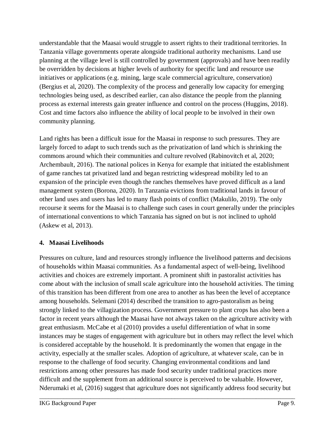understandable that the Maasai would struggle to assert rights to their traditional territories. In Tanzania village governments operate alongside traditional authority mechanisms. Land use planning at the village level is still controlled by government (approvals) and have been readily be overridden by decisions at higher levels of authority for specific land and resource use initiatives or applications (e.g. mining, large scale commercial agriculture, conservation) (Bergius et al, 2020). The complexity of the process and generally low capacity for emerging technologies being used, as described earlier, can also distance the people from the planning process as external interests gain greater influence and control on the process (Huggins, 2018). Cost and time factors also influence the ability of local people to be involved in their own community planning.

Land rights has been a difficult issue for the Maasai in response to such pressures. They are largely forced to adapt to such trends such as the privatization of land which is shrinking the commons around which their communities and culture revolved (Rabinovitch et al, 2020; Archembault, 2016). The national polices in Kenya for example that initiated the establishment of game ranches tat privatized land and began restricting widespread mobility led to an expansion of the principle even though the ranches themselves have proved difficult as a land management system (Borona, 2020). In Tanzania evictions from traditional lands in favour of other land uses and users has led to many flash points of conflict (Makulilo, 2019). The only recourse it seems for the Maasai is to challenge such cases in court generally under the principles of international conventions to which Tanzania has signed on but is not inclined to uphold (Askew et al, 2013).

#### **4. Maasai Livelihoods**

Pressures on culture, land and resources strongly influence the livelihood patterns and decisions of households within Maasai communities. As a fundamental aspect of well-being, livelihood activities and choices are extremely important. A prominent shift in pastoralist activities has come about with the inclusion of small scale agriculture into the household activities. The timing of this transition has been different from one area to another as has been the level of acceptance among households. Selemani (2014) described the transition to agro-pastoralism as being strongly linked to the villagization process. Government pressure to plant crops has also been a factor in recent years although the Maasai have not always taken on the agriculture activity with great enthusiasm. McCabe et al (2010) provides a useful differentiation of what in some instances may be stages of engagement with agriculture but in others may reflect the level which is considered acceptable by the household. It is predominantly the women that engage in the activity, especially at the smaller scales. Adoption of agriculture, at whatever scale, can be in response to the challenge of food security. Changing environmental conditions and land restrictions among other pressures has made food security under traditional practices more difficult and the supplement from an additional source is perceived to be valuable. However, Nderumaki et al, (2016) suggest that agriculture does not significantly address food security but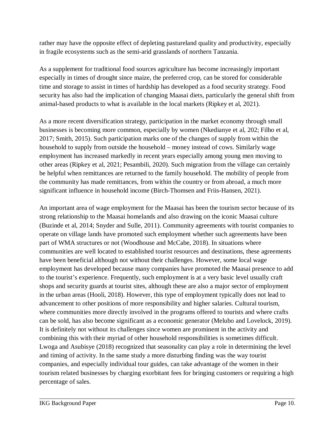rather may have the opposite effect of depleting pastureland quality and productivity, especially in fragile ecosystems such as the semi-arid grasslands of northern Tanzania.

As a supplement for traditional food sources agriculture has become increasingly important especially in times of drought since maize, the preferred crop, can be stored for considerable time and storage to assist in times of hardship has developed as a food security strategy. Food security has also had the implication of changing Maasai diets, particularly the general shift from animal-based products to what is available in the local markets (Ripkey et al, 2021).

As a more recent diversification strategy, participation in the market economy through small businesses is becoming more common, especially by women (Nkedianye et al, 202; Filho et al, 2017; Smith, 2015). Such participation marks one of the changes of supply from within the household to supply from outside the household – money instead of cows. Similarly wage employment has increased markedly in recent years especially among young men moving to other areas (Ripkey et al, 2021; Pesambili, 2020). Such migration from the village can certainly be helpful when remittances are returned to the family household. The mobility of people from the community has made remittances, from within the country or from abroad, a much more significant influence in household income (Birch-Thomsen and Friis-Hansen, 2021).

An important area of wage employment for the Maasai has been the tourism sector because of its strong relationship to the Maasai homelands and also drawing on the iconic Maasai culture (Buzinde et al, 2014; Snyder and Sulle, 2011). Community agreements with tourist companies to operate on village lands have promoted such employment whether such agreements have been part of WMA structures or not (Woodhouse and McCabe, 2018). In situations where communities are well located to established tourist resources and destinations, these agreements have been beneficial although not without their challenges. However, some local wage employment has developed because many companies have promoted the Maasai presence to add to the tourist's experience. Frequently, such employment is at a very basic level usually craft shops and security guards at tourist sites, although these are also a major sector of employment in the urban areas (Hooli, 2018). However, this type of employment typically does not lead to advancement to other positions of more responsibility and higher salaries. Cultural tourism, where communities more directly involved in the programs offered to tourists and where crafts can be sold, has also become significant as a economic generator (Melubo and Lovelock, 2019). It is definitely not without its challenges since women are prominent in the activity and combining this with their myriad of other household responsibilities is sometimes difficult. Lwoga and Asubisye (2018) recognized that seasonality can play a role in determining the level and timing of activity. In the same study a more disturbing finding was the way tourist companies, and especially individual tour guides, can take advantage of the women in their tourism related businesses by charging exorbitant fees for bringing customers or requiring a high percentage of sales.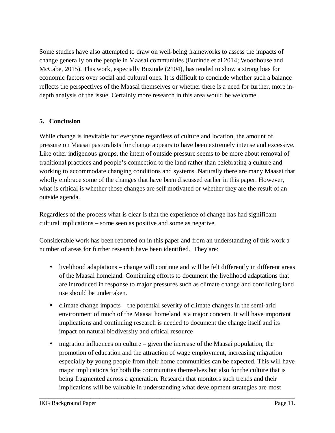Some studies have also attempted to draw on well-being frameworks to assess the impacts of change generally on the people in Maasai communities (Buzinde et al 2014; Woodhouse and McCabe, 2015). This work, especially Buzinde (2104), has tended to show a strong bias for economic factors over social and cultural ones. It is difficult to conclude whether such a balance reflects the perspectives of the Maasai themselves or whether there is a need for further, more indepth analysis of the issue. Certainly more research in this area would be welcome.

#### **5. Conclusion**

While change is inevitable for everyone regardless of culture and location, the amount of pressure on Maasai pastoralists for change appears to have been extremely intense and excessive. Like other indigenous groups, the intent of outside pressure seems to be more about removal of traditional practices and people's connection to the land rather than celebrating a culture and working to accommodate changing conditions and systems. Naturally there are many Maasai that wholly embrace some of the changes that have been discussed earlier in this paper. However, what is critical is whether those changes are self motivated or whether they are the result of an outside agenda.

Regardless of the process what is clear is that the experience of change has had significant cultural implications – some seen as positive and some as negative.

Considerable work has been reported on in this paper and from an understanding of this work a number of areas for further research have been identified. They are:

- livelihood adaptations change will continue and will be felt differently in different areas of the Maasai homeland. Continuing efforts to document the livelihood adaptations that are introduced in response to major pressures such as climate change and conflicting land use should be undertaken.
- climate change impacts the potential severity of climate changes in the semi-arid environment of much of the Maasai homeland is a major concern. It will have important implications and continuing research is needed to document the change itself and its impact on natural biodiversity and critical resource
- $\bullet$  migration influences on culture given the increase of the Maasai population, the promotion of education and the attraction of wage employment, increasing migration especially by young people from their home communities can be expected. This will have major implications for both the communities themselves but also for the culture that is being fragmented across a generation. Research that monitors such trends and their implications will be valuable in understanding what development strategies are most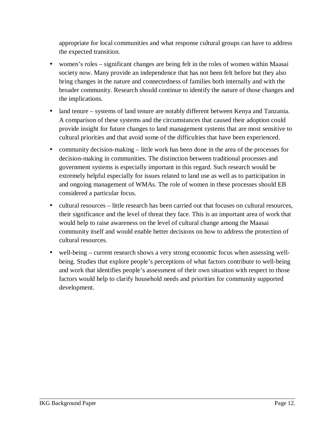appropriate for local communities and what response cultural groups can have to address the expected transition.

- women's roles significant changes are being felt in the roles of women within Maasai society now. Many provide an independence that has not been felt before but they also bring changes in the nature and connectedness of families both internally and with the broader community. Research should continue to identify the nature of those changes and the implications.
- land tenure systems of land tenure are notably different between Kenya and Tanzania. A comparison of these systems and the circumstances that caused their adoption could provide insight for future changes to land management systems that are most sensitive to cultural priorities and that avoid some of the difficulties that have been experienced.
- community decision-making little work has been done in the area of the processes for decision-making in communities. The distinction between traditional processes and government systems is especially important in this regard. Such research would be extremely helpful especially for issues related to land use as well as to participation in and ongoing management of WMAs. The role of women in these processes should EB considered a particular focus.
- cultural resources little research has been carried out that focuses on cultural resources, their significance and the level of threat they face. This is an important area of work that would help to raise awareness on the level of cultural change among the Maasai community itself and would enable better decisions on how to address the protection of cultural resources.
- well-being current research shows a very strong economic focus when assessing wellbeing. Studies that explore people's perceptions of what factors contribute to well-being and work that identifies people's assessment of their own situation with respect to those factors would help to clarify household needs and priorities for community supported development.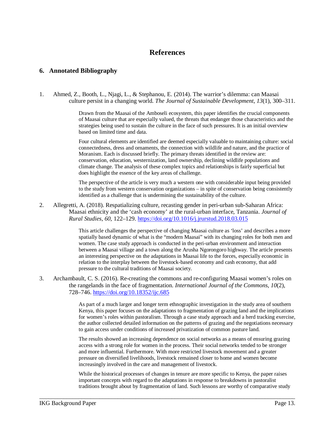### **References**

#### **6. Annotated Bibliography**

1. Ahmed, Z., Booth, L., Njagi, L., & Stephanou, E. (2014). The warrior's dilemma: can Maasai culture persist in a changing world. *The Journal of Sustainable Development*, *13*(1), 300–311.

> Drawn from the Maasai of the Amboseli ecosystem, this paper identifies the crucial components of Maasai culture that are especially valued, the threats that endanger those characteristics and the strategies being used to sustain the culture in the face of such pressures. It is an initial overview based on limited time and data.

> Four cultural elements are identified are deemed especially valuable to maintaining culture: social connectedness, dress and ornaments, the connection with wildlife and nature, and the practice of Moranism. Each is discussed briefly. The primary threats identified in the review are: conservation, education, westernization, land ownership, declining wildlife populations and climate change. The analysis of these complex topics and relationships is fairly superficial but does highlight the essence of the key areas of challenge.

> The perspective of the article is very much a western one with considerable input being provided to the study from western conservation organizations – in spite of conservation being consistently identified as a challenge that is undermining the sustainability of the culture.

2. Allegretti, A. (2018). Respatializing culture, recasting gender in peri-urban sub-Saharan Africa: Maasai ethnicity and the 'cash economy' at the rural-urban interface, Tanzania. *Journal of Rural Studies*, *60*, 122–129. https://doi.org/10.1016/j.jrurstud.2018.03.015

> This article challenges the perspective of changing Maasai culture as 'loss' and describes a more spatially based dynamic of what is the "modern Maasai" with its changing roles for both men and women. The case study approach is conducted in the peri-urban environment and interaction between a Maasai village and a town along the Arusha Ngorongoro highway. The article presents an interesting perspective on the adaptations in Maasai life to the forces, especially economic in relation to the interplay between the livestock-based economy and cash economy, that add pressure to the cultural traditions of Maasai society.

3. Archambault, C. S. (2016). Re-creating the commons and re-configuring Maasai women's roles on the rangelands in the face of fragmentation. *International Journal of the Commons*, *10*(2), 728–746. https://doi.org/10.18352/ijc.685

> As part of a much larger and longer term ethnographic investigation in the study area of southern Kenya, this paper focuses on the adaptations to fragmentation of grazing land and the implications for women's roles within pastoralism. Through a case study approach and a herd tracking exercise, the author collected detailed information on the patterns of grazing and the negotiations necessary to gain access under conditions of increased privatization of common pasture land.

The results showed an increasing dependence on social networks as a means of ensuring grazing access with a strong role for women in the process. Their social networks tended to be stronger and more influential. Furthermore. With more restricted livestock movement and a greater pressure on diversified livelihoods, livestock remained closer to home and women become increasingly involved in the care and management of livestock.

While the historical processes of changes in tenure are more specific to Kenya, the paper raises important concepts with regard to the adaptations in response to breakdowns in pastoralist traditions brought about by fragmentation of land. Such lessons are worthy of comparative study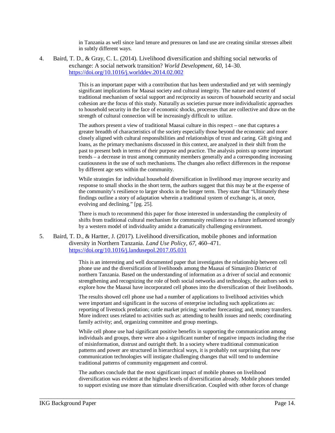in Tanzania as well since land tenure and pressures on land use are creating similar stresses albeit in subtly different ways.

4. Baird, T. D., & Gray, C. L. (2014). Livelihood diversification and shifting social networks of exchange: A social network transition? *World Development*, *60*, 14–30. https://doi.org/10.1016/j.worlddev.2014.02.002

> This is an important paper with a contribution that has been understudied and yet with seemingly significant implications for Maasai society and cultural integrity. The nature and extent of traditional mechanism of social support and reciprocity as sources of household security and social cohesion are the focus of this study. Naturally as societies pursue more individualistic approaches to household security in the face of economic shocks, processes that are collective and draw on the strength of cultural connection will be increasingly difficult to utilize.

The authors present a view of traditional Maasai culture in this respect – one that captures a greater breadth of characteristics of the society especially those beyond the economic and more closely aligned with cultural responsibilities and relationships of trust and caring. Gift giving and loans, as the primary mechanisms discussed in this context, are analyzed in their shift from the past to present both in terms of their purpose and practice. The analysis points up some important trends – a decrease in trust among community members generally and a corresponding increasing cautiousness in the use of such mechanisms. The changes also reflect differences in the response by different age sets within the community.

While strategies for individual household diversification in livelihood may improve security and response to small shocks in the short term, the authors suggest that this may be at the expense of the community's resilience to larger shocks in the longer term. They state that "Ultimately these findings outline a story of adaptation wherein a traditional system of exchange is, at once, evolving and declining." [pg. 25].

There is much to recommend this paper for those interested in understanding the complexity of shifts from traditional cultural mechanism for community resilience to a future influenced strongly by a western model of individuality amidst a dramatically challenging environment.

5. Baird, T. D., & Hartter, J. (2017). Livelihood diversification, mobile phones and information diversity in Northern Tanzania. *Land Use Policy*, *67*, 460–471. https://doi.org/10.1016/j.landusepol.2017.05.031

> This is an interesting and well documented paper that investigates the relationship between cell phone use and the diversification of livelihoods among the Maasai of Simanjiro District of northern Tanzania. Based on the understanding of information as a driver of social and economic strengthening and recognizing the role of both social networks and technology, the authors seek to explore how the Maasai have incorporated cell phones into the diversification of their livelihoods.

The results showed cell phone use had a number of applications to livelihood activities which were important and significant in the success of enterprise including such applications as: reporting of livestock predation; cattle market pricing; weather forecasting; and, money transfers. More indirect uses related to activities such as: attending to health issues and needs; coordinating family activity; and, organizing committee and group meetings.

While cell phone use had significant positive benefits in supporting the communication among individuals and groups, there were also a significant number of negative impacts including the rise of misinformation, distrust and outright theft. In a society where traditional communication patterns and power are structured in hierarchical ways, it is probably not surprising that new communication technologies will instigate challenging changes that will tend to undermine traditional patterns of community engagement and control.

The authors conclude that the most significant impact of mobile phones on livelihood diversification was evident at the highest levels of diversification already. Mobile phones tended to support existing use more than stimulate diversification. Coupled with other forces of change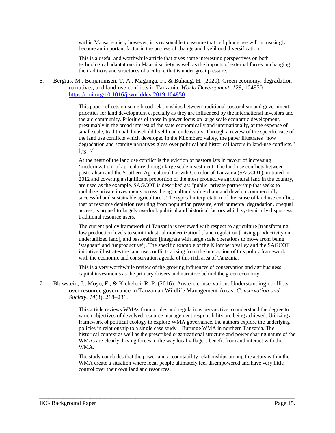within Maasai society however, it is reasonable to assume that cell phone use will increasingly become an important factor in the process of change and livelihood diversification.

This is a useful and worthwhile article that gives some interesting perspectives on both technological adaptations in Maasai society as well as the impacts of external forces in changing the traditions and structures of a culture that is under great pressure.

6. Bergius, M., Benjaminsen, T. A., Maganga, F., & Buhaug, H. (2020). Green economy, degradation narratives, and land-use conflicts in Tanzania. *World Development*, *129*, 104850. https://doi.org/10.1016/j.worlddev.2019.104850

> This paper reflects on some broad relationships between traditional pastoralism and government priorities for land development especially as they are influenced by the international investors and the aid community. Priorities of those in power focus on large scale economic development, presumably in the broad interest of the state economically and internationally, at the expense of small scale, traditional, household livelihood endeavours. Through a review of the specific case of the land use conflicts which developed in the Kilombero valley, the paper illustrates "how degradation and scarcity narratives gloss over political and historical factors in land-use conflicts." [pg. 2]

> At the heart of the land use conflict is the eviction of pastoralists in favour of increasing 'modernization' of agriculture through large scale investment. The land use conflicts between pastoralism and the Southern Agricultural Growth Corridor of Tanzania (SAGCOT), initiated in 2012 and covering a significant proportion of the most productive agricultural land in the country, are used as the example. SAGCOT is described as: "public–private partnership that seeks to mobilize private investments across the agricultural value-chain and develop commercially successful and sustainable agriculture". The typical interpretation of the cause of land use conflict, that of resource depletion resulting from population pressure, environmental degradation, unequal access, is argued to largely overlook political and historical factors which systemically dispossess traditional resource users.

The current policy framework of Tanzania is reviewed with respect to agriculture [transforming low production levels to semi industrial modernization] , land regulation [raising productivity on underutilized land], and pastoralism [integrate with large scale operations to move from being 'stagnant' and 'unproductive']. The specific example of the Kilombero valley and the SAGCOT initiative illustrates the land use conflicts arising from the interaction of this policy framework with the economic and conservation agenda of this rich area of Tanzania.

This is a very worthwhile review of the growing influences of conservation and agribusiness capital investments as the primary drivers and narrative behind the green economy.

7. Bluwstein, J., Moyo, F., & Kicheleri, R. P. (2016). Austere conservation: Understanding conflicts over resource governance in Tanzanian Wildlife Management Areas. *Conservation and Society*, *14*(3), 218–231.

> This article reviews WMAs from a rules and regulations perspective to understand the degree to which objectives of devolved resource management responsibility are being achieved. Utilizing a framework of political ecology to explore WMA governance, the authors explore the underlying policies in relationship to a single case study – Burunge WMA in northern Tanzania. The historical context as well as the prescribed organizational structure and power sharing nature of the WMAs are clearly driving forces in the way local villagers benefit from and interact with the WMA.

The study concludes that the power and accountability relationships among the actors within the WMA create a situation where local people ultimately feel disempowered and have very little control over their own land and resources.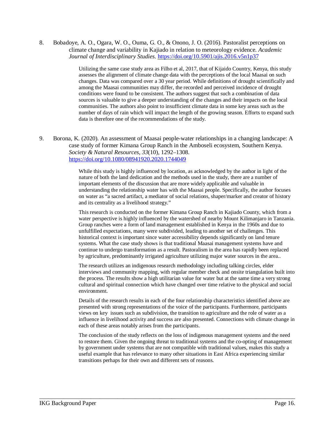8. Bobadoye, A. O., Ogara, W. O., Ouma, G. O., & Onono, J. O. (2016). Pastoralist perceptions on climate change and variability in Kajiado in relation to meteorology evidence. *Academic Journal of Interdisciplinary Studies*. https://doi.org/10.5901/ajis.2016.v5n1p37

> Utilizing the same case study area as Filho et al, 2017, that of Kijaido Country, Kenya, this study assesses the alignment of climate change data with the perceptions of the local Maasai on such changes. Data was compared over a 30 year period. While definitions of drought scientifically and among the Maasai communities may differ, the recorded and perceived incidence of drought conditions were found to be consistent. The authors suggest that such a combination of data sources is valuable to give a deeper understanding of the changes and their impacts on the local communities. The authors also point to insufficient climate data in some key areas such as the number of days of rain which will impact the length of the growing season. Efforts to expand such data is therefore one of the recommendations of the study.

9. Borona, K. (2020). An assessment of Maasai people-water relationships in a changing landscape: A case study of former Kimana Group Ranch in the Amboseli ecosystem, Southern Kenya. *Society & Natural Resources*, *33*(10), 1292–1308. https://doi.org/10.1080/08941920.2020.1744049

> While this study is highly influenced by location, as acknowledged by the author in light of the nature of both the land dedication and the methods used in the study, there are a number of important elements of the discussion that are more widely applicable and valuable in understanding the relationship water has with the Maasai people. Specifically, the author focuses on water as "a sacred artifact, a mediator of social relations, shaper/marker and creator of history and its centrality as a livelihood strategy."

This research is conducted on the former Kimana Group Ranch in Kajiado County, which from a water perspective is highly influenced by the watershed of nearby Mount Kilimanjaro in Tanzania. Group ranches were a form of land management established in Kenya in the 1960s and due to unfulfilled expectations, many were subdivided, leading to another set of challenges. This historical context is important since water accessibility depends significantly on land tenure systems. What the case study shows is that traditional Maasai management systems have and continue to undergo transformation as a result. Pastoralism in the area has rapidly been replaced by agriculture, predominantly irrigated agriculture utilizing major water sources in the area..

The research utilizes an indigenous research methodology including talking circles, elder interviews and community mapping, with regular member check and onsite triangulation built into the process. The results show a high utilitarian value for water but at the same time a very strong cultural and spiritual connection which have changed over time relative to the physical and social environment.

Details of the research results in each of the four relationship characteristics identified above are presented with strong representations of the voice of the participants. Furthermore, participants views on key issues such as subdivision, the transition to agriculture and the role of water as a influence in livelihood activity and success are also presented. Connections with climate change in each of these areas notably arises from the participants.

The conclusion of the study reflects on the loss of indigenous management systems and the need to restore them. Given the ongoing threat to traditional systems and the co-opting of management by government under systems that are not compatible with traditional values, makes this study a useful example that has relevance to many other situations in East Africa experiencing similar transitions perhaps for their own and different sets of reasons.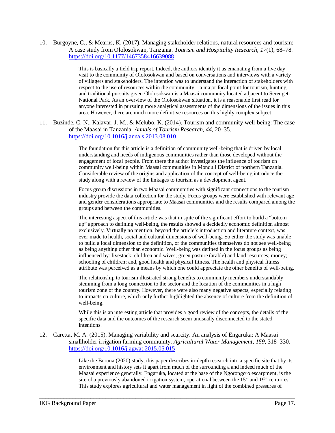10. Burgoyne, C., & Mearns, K. (2017). Managing stakeholder relations, natural resources and tourism: A case study from Ololosokwan, Tanzania. *Tourism and Hospitality Research*, *17*(1), 68–78. https://doi.org/10.1177/1467358416639088

> This is basically a field trip report. Indeed, the authors identify it as emanating from a five day visit to the community of Ololosokwan and based on conversations and interviews with a variety of villagers and stakeholders. The intention was to understand the interaction of stakeholders with respect to the use of resources within the community – a major focal point for tourism, hunting and traditional pursuits given Ololosokwan is a Maasai community located adjacent to Serengeti National Park. As an overview of the Ololosokwan situation, it is a reasonable first read for anyone interested in pursuing more analytical assessments of the dimensions of the issues in this area. However, there are much more definitive resources on this highly complex subject.

11. Buzinde, C. N., Kalavar, J. M., & Melubo, K. (2014). Tourism and community well-being: The case of the Maasai in Tanzania. *Annals of Tourism Research*, *44*, 20–35. https://doi.org/10.1016/j.annals.2013.08.010

> The foundation for this article is a definition of community well-being that is driven by local understanding and needs of indigenous communities rather than those developed without the engagement of local people. From there the author investigates the influence of tourism on community well-being within Maasai communities in Monduli District of northern Tanzania. Considerable review of the origins and application of the concept of well-being introduce the study along with a review of the linkages to tourism as a development agent.

Focus group discussions in two Maasai communities with significant connections to the tourism industry provide the data collection for the study. Focus groups were established with relevant age and gender considerations appropriate to Maasai communities and the results compared among the groups and between the communities.

The interesting aspect of this article was that in spite of the significant effort to build a "bottom up" approach to defining well-being, the results showed a decidedly economic definition almost exclusively. Virtually no mention, beyond the article's introduction and literature context, was ever made to health, social and cultural dimensions of well-being. So either the study was unable to build a local dimension to the definition, or the communities themselves do not see well-being as being anything other than economic. Well-being was defined in the focus groups as being influenced by: livestock; children and wives; green pasture (arable) and land resources; money; schooling of children; and, good health and physical fitness. The health and physical fitness attribute was perceived as a means by which one could appreciate the other benefits of well-being.

The relationship to tourism illustrated strong benefits to community members understandably stemming from a long connection to the sector and the location of the communities in a high tourism zone of the country. However, there were also many negative aspects, especially relating to impacts on culture, which only further highlighted the absence of culture from the definition of well-being.

While this is an interesting article that provides a good review of the concepts, the details of the specific data and the outcomes of the research seem unusually disconnected to the stated intentions.

12. Caretta, M. A. (2015). Managing variability and scarcity. An analysis of Engaruka: A Maasai smallholder irrigation farming community. *Agricultural Water Management*, *159*, 318–330. https://doi.org/10.1016/j.agwat.2015.05.015

\_\_\_\_\_\_\_\_\_\_\_\_\_\_\_\_\_\_\_\_\_\_\_\_\_\_\_\_\_\_\_\_\_\_\_\_\_\_\_\_\_\_\_\_\_\_\_\_\_\_\_\_\_\_\_\_\_\_\_\_\_\_\_\_\_\_\_\_\_\_\_\_\_\_\_\_\_\_\_\_\_\_\_\_\_

Like the Borona (2020) study, this paper describes in-depth research into a specific site that by its environment and history sets it apart from much of the surrounding a and indeed much of the Maasai experience generally. Engaruka, located at the base of the Ngorongoro escarpment, is the site of a previously abandoned irrigation system, operational between the  $15<sup>th</sup>$  and  $19<sup>th</sup>$  centuries. This study explores agricultural and water management in light of the combined pressures of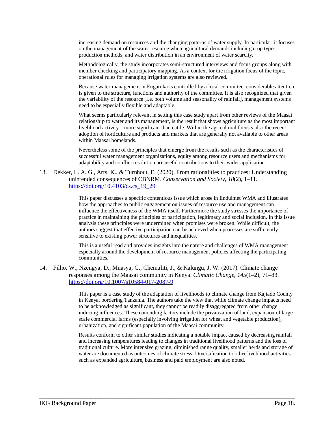increasing demand on resources and the changing patterns of water supply. In particular, it focuses on the management of the water resource when agricultural demands including crop types, production methods, and water distribution in an environment of water scarcity.

Methodologically, the study incorporates semi-structured interviews and focus groups along with member checking and participatory mapping. As a context for the irrigation focus of the topic, operational rules for managing irrigation systems are also reviewed.

Because water management in Engaruka is controlled by a local committee, considerable attention is given to the structure, functions and authority of the committee. It is also recognized that given the variability of the resource [i.e. both volume and seasonality of rainfall], management systems need to be especially flexible and adaptable.

What seems particularly relevant in setting this case study apart from other reviews of the Maasai relationship to water and its management, is the result that shows agriculture as the most important livelihood activity – more significant than cattle. Within the agricultural focus s also the recent adoption of horticulture and products and markets that are generally not available to other areas within Maasai homelands.

Nevertheless some of the principles that emerge from the results such as the characteristics of successful water management organizations, equity among resource users and mechanisms for adaptability and conflict resolution are useful contributions to their wider application.

13. Dekker, L. A. G., Arts, K., & Turnhout, E. (2020). From rationalities to practices: Understanding unintended consequences of CBNRM. *Conservation and Society*, *18*(2), 1–11. https://doi.org/10.4103/cs.cs\_19\_29

> This paper discusses a specific contentious issue which arose in Enduimet WMA and illustrates how the approaches to public engagement on issues of resource use and management can influence the effectiveness of the WMA itself. Furthermore the study stresses the importance of practice in maintaining the principles of participation, legitimacy and social inclusion. In this issue analysis these principles were undermined when promises were broken. While difficult, the authors suggest that effective participation can be achieved when processes are sufficiently sensitive to existing power structures and inequalities.

This is a useful read and provides insights into the nature and challenges of WMA management especially around the development of resource management policies affecting the participating communities.

14. Filho, W., Nzengya, D., Muasya, G., Chemuliti, J., & Kalungu, J. W. (2017). Climate change responses among the Maasai community in Kenya. *Climatic Change*, *145*(1–2), 71–83. https://doi.org/10.1007/s10584-017-2087-9

> This paper is a case study of the adaptation of livelihoods to climate change from Kajiado County in Kenya, bordering Tanzania. The authors take the view that while climate change impacts need to be acknowledged as significant, they cannot be readily disaggregated from other change inducing influences. These coinciding factors include the privatization of land, expansion of large scale commercial farms (especially involving irrigation for wheat and vegetable production), urbanization, and significant population of the Maasai community.

> Results conform to other similar studies indicating a notable impact caused by decreasing rainfall and increasing temperatures leading to changes in traditional livelihood patterns and the loss of traditional culture. More intensive grazing, diminished range quality, smaller herds and storage of water are documented as outcomes of climate stress. Diversification to other livelihood activities such as expanded agriculture, business and paid employment are also noted.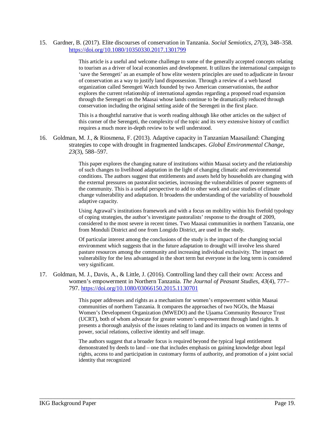#### 15. Gardner, B. (2017). Elite discourses of conservation in Tanzania. *Social Semiotics*, *27*(3), 348–358. https://doi.org/10.1080/10350330.2017.1301799

This article is a useful and welcome challenge to some of the generally accepted concepts relating to tourism as a driver of local economies and development. It utilizes the international campaign to 'save the Serengeti' as an example of how elite western principles are used to adjudicate in favour of conservation as a way to justify land dispossession. Through a review of a web based organization called Serengeti Watch founded by two American conservationists, the author explores the current relationship of international agendas regarding a proposed road expansion through the Serengeti on the Maasai whose lands continue to be dramatically reduced through conservation including the original setting aside of the Serengeti in the first place.

This is a thoughtful narrative that is worth reading although like other articles on the subject of this corner of the Serengeti, the complexity of the topic and its very extensive history of conflict requires a much more in-depth review to be well understood.

16. Goldman, M. J., & Riosmena, F. (2013). Adaptive capacity in Tanzanian Maasailand: Changing strategies to cope with drought in fragmented landscapes. *Global Environmental Change*, *23*(3), 588–597.

> This paper explores the changing nature of institutions within Maasai society and the relationship of such changes to livelihood adaptation in the light of changing climatic and environmental conditions. The authors suggest that entitlements and assets held by households are changing with the external pressures on pastoralist societies, increasing the vulnerabilities of poorer segments of the community. This is a useful perspective to add to other work and case studies of climate change vulnerability and adaptation. It broadens the understanding of the variability of household adaptive capacity.

> Using Agrawal's institutions framework and with a focus on mobility within his fivefold typology of coping strategies, the author's investigate pastoralists' response to the drought of 2009, considered to the most severe in recent times. Two Maasai communities in northern Tanzania, one from Monduli District and one from Longido District, are used in the study.

Of particular interest among the conclusions of the study is the impact of the changing social environment which suggests that in the future adaptation to drought will involve less shared pasture resources among the community and increasing individual exclusivity. The impact on vulnerability for the less advantaged in the short term but everyone in the long term is considered very significant.

17. Goldman, M. J., Davis, A., & Little, J. (2016). Controlling land they call their own: Access and women's empowerment in Northern Tanzania. *The Journal of Peasant Studies*, *43*(4), 777– 797. https://doi.org/10.1080/03066150.2015.1130701

\_\_\_\_\_\_\_\_\_\_\_\_\_\_\_\_\_\_\_\_\_\_\_\_\_\_\_\_\_\_\_\_\_\_\_\_\_\_\_\_\_\_\_\_\_\_\_\_\_\_\_\_\_\_\_\_\_\_\_\_\_\_\_\_\_\_\_\_\_\_\_\_\_\_\_\_\_\_\_\_\_\_\_\_\_

This paper addresses and rights as a mechanism for women's empowerment within Maasai communities of northern Tanzania. It compares the approaches of two NGOs, the Maasai Women's Development Organization (MWEDO) and the Ujaama Community Resource Trust (UCRT), both of whom advocate for greater women's empowerment through land rights. It presents a thorough analysis of the issues relating to land and its impacts on women in terms of power, social relations, collective identity and self image.

The authors suggest that a broader focus is required beyond the typical legal entitlement demonstrated by deeds to land – one that includes emphasis on gaining knowledge about legal rights, access to and participation in customary forms of authority, and promotion of a joint social identity that recognized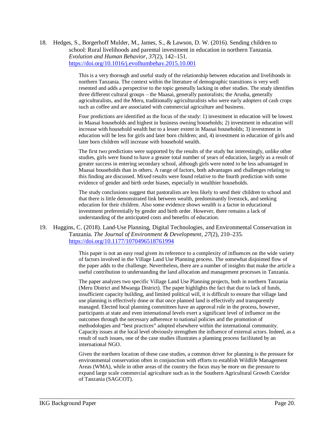18. Hedges, S., Borgerhoff Mulder, M., James, S., & Lawson, D. W. (2016). Sending children to school: Rural livelihoods and parental investment in education in northern Tanzania. *Evolution and Human Behavior*, *37*(2), 142–151. https://doi.org/10.1016/j.evolhumbehav.2015.10.001

> This is a very thorough and useful study of the relationship between education and livelihoods in northern Tanzania. The context within the literature of demographic transitions is very well resented and adds a perspective to the topic generally lacking in other studies. The study identifies three different cultural groups – the Maasai, generally pastoralists; the Arusha, generally agriculturalists, and the Meru, traditionally agriculturalists who were early adopters of cash crops such as coffee and are associated with commercial agriculture and business.

> Four predictions are identified as the focus of the study: 1) investment in education will be lowest in Maasai households and highest in business owning households; 2) investment in education will increase with household wealth but to a lesser extent in Maasai households; 3) investment in education will be less for girls and later born children; and, 4) investment in education of girls and later born children will increase with household wealth.

> The first two predictions were supported by the results of the study but interestingly, unlike other studies, girls were found to have a greater total number of years of education, largely as a result of greater success in entering secondary school, although girls were noted to be less advantaged in Maasai households than in others. A range of factors, both advantages and challenges relating to this finding are discussed. Mixed results were found relative to the fourth prediction with some evidence of gender and birth order biases, especially in wealthier households.

The study conclusions suggest that pastoralists are less likely to send their children to school and that there is little demonstrated link between wealth, predominantly livestock, and seeking education for their children. Also some evidence shows wealth is a factor in educational investment preferentially by gender and birth order. However, there remains a lack of understanding of the anticipated costs and benefits of education.

19. Huggins, C. (2018). Land-Use Planning, Digital Technologies, and Environmental Conservation in Tanzania. *The Journal of Environment & Development*, *27*(2), 210–235. https://doi.org/10.1177/1070496518761994

> This paper is not an easy read given its reference to a complexity of influences on the wide variety of factors involved in the Village Land Use Planning process. The somewhat disjointed flow of the paper adds to the challenge. Nevertheless, there are a number of insights that make the article a useful contribution to understanding the land allocation and management processes in Tanzania.

> The paper analyzes two specific Village Land Use Planning projects, both in northern Tanzania (Meru District and Mwanga District). The paper highlights the fact that due to lack of funds, insufficient capacity building, and limited political will, it is difficult to ensure that village land use planning is effectively done or that once planned land is effectively and transparently managed. Elected local planning committees have an approval role in the process, however, participants at state and even international levels exert a significant level of influence on the outcomes through the necessary adherence to national policies and the promotion of methodologies and "best practices" adopted elsewhere within the international community. Capacity issues at the local level obviously strengthen the influence of external actors. Indeed, as a result of such issues, one of the case studies illustrates a planning process facilitated by an international NGO.

> Given the northern location of these case studies, a common driver for planning is the pressure for environmental conservation often in conjunction with efforts to establish Wildlife Management Areas (WMA), while in other areas of the country the focus may be more on the pressure to expand large scale commercial agriculture such as in the Southern Agricultural Growth Corridor of Tanzania (SAGCOT).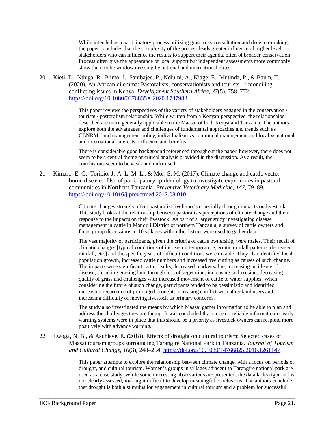While intended as a participatory process utilizing grassroots consultation and decision-making, the paper concludes that the complexity of the process leads greater influence of higher level stakeholders who can influence the results to support their agenda, often of broader conservation. Process often give the appearance of local support but independent assessments more commonly show them to be window dressing by national and international elites.

20. Kieti, D., Nthiga, R., Plimo, J., Sambajee, P., Ndiuini, A., Kiage, E., Mutinda, P., & Baum, T. (2020). An African dilemma: Pastoralists, conservationists and tourists – reconciling conflicting issues in Kenya. *Development Southern Africa*, *37*(5), 758–772. https://doi.org/10.1080/0376835X.2020.1747988

> This paper reviews the perspectives of the variety of stakeholders engaged in the conservation / tourism / pastoralism relationship. While written from a Kenyan perspective, the relationships described are more generally applicable to the Maasai of both Kenya and Tanzania. The authors explore both the advantages and challenges of fundamental approaches and trends such as CBNRM, land management policy, individualism vs communal management and local vs national and international interests, influence and benefits.

There is considerable good background referenced throughout the paper, however, there does not seem to be a central theme or critical analysis provided in the discussion. As a result, the conclusions seem to be weak and unfocused.

21. Kimaro, E. G., Toribio, J.-A. L. M. L., & Mor, S. M. (2017). Climate change and cattle vectorborne diseases: Use of participatory epidemiology to investigate experiences in pastoral communities in Northern Tanzania. *Preventive Veterinary Medicine*, *147*, 79–89. https://doi.org/10.1016/j.prevetmed.2017.08.010

> Climate changes strongly affect pastoralist livelihoods especially through impacts on livestock. This study looks at the relationship between pastoralists perceptions of climate change and their response to the impacts on their livestock. As part of a larger study investigating disease management in cattle in Monduli District of northern Tanzania, a survey of cattle owners and focus group discussions in 10 villages within the district were used to gather data.

The vast majority of participants, given the criteria of cattle ownership, were males. Their recall of climatic changes [typical conditions of increasing temperature, erratic rainfall patterns, decreased rainfall, etc.] and the specific years of difficult conditions were notable. They also identified local population growth, increased cattle numbers and increased tree cutting as causes of such change. The impacts were significant cattle deaths, decreased market value, increasing incidence of disease, shrinking grazing land through loss of vegetation, increasing soil erosion, decreasing quality of grass and challenges with increased movement of cattle to water supplies. When considering the future of such change, participants tended to be pessimistic and identified increasing recurrence of prolonged drought, increasing conflict with other land users and increasing difficulty of moving livestock as primary concerns.

The study also investigated the means by which Maasai gather information to be able to plan and address the challenges they are facing. It was concluded that since no reliable information or early warning systems were in place that this should be a priority as livestock owners can respond more positively with advance warning.

22. Lwoga, N. B., & Asubisye, E. (2018). Effects of drought on cultural tourism: Selected cases of Maasai tourism groups surrounding Tarangire National Park in Tanzania. *Journal of Tourism and Cultural Change*, *16*(3), 248–264. https://doi.org/10.1080/14766825.2016.1261147

\_\_\_\_\_\_\_\_\_\_\_\_\_\_\_\_\_\_\_\_\_\_\_\_\_\_\_\_\_\_\_\_\_\_\_\_\_\_\_\_\_\_\_\_\_\_\_\_\_\_\_\_\_\_\_\_\_\_\_\_\_\_\_\_\_\_\_\_\_\_\_\_\_\_\_\_\_\_\_\_\_\_\_\_\_

This paper attempts to explore the relationship between climate change, with a focus on periods of drought, and cultural tourism. Women's groups in villages adjacent to Tarangire national park are used as a case study. While some interesting observations are presented, the data lacks rigor and is not clearly assessed, making it difficult to develop meaningful conclusions. The authors conclude that drought is both a stimulus for engagement in cultural tourism and a problem for successful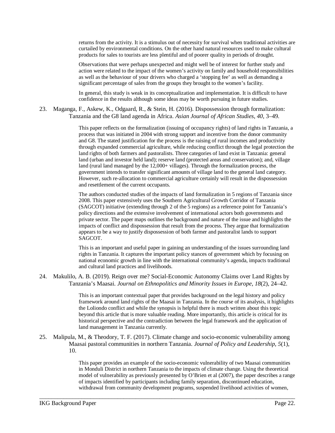returns from the activity. It is a stimulus out of necessity for survival when traditional activities are curtailed by environmental conditions. On the other hand natural resources used to make cultural products for sales to tourists are less plentiful and of poorer quality in periods of drought.

Observations that were perhaps unexpected and might well be of interest for further study and action were related to the impact of the women's activity on family and household responsibilities as well as the behaviour of your drivers who charged a 'stopping fee' as well as demanding a significant percentage of sales from the groups they brought to the women's facility.

In general, this study is weak in its conceptualization and implementation. It is difficult to have confidence in the results although some ideas may be worth pursuing in future studies.

23. Maganga, F., Askew, K., Odgaard, R., & Stein, H. (2016). Dispossession through formalization: Tanzania and the G8 land agenda in Africa. *Asian Journal of African Studies*, *40*, 3–49.

> This paper reflects on the formalization (issuing of occupancy rights) of land rights in Tanzania, a process that was initiated in 2004 with strong support and incentive from the donor community and G8. The stated justification for the process is the raising of rural incomes and productivity through expanded commercial agriculture, while reducing conflict through the legal protection the land rights of both farmers and pastoralists. Three categories of land exist in Tanzania: general land (urban and investor held land); reserve land (protected areas and conservation); and, village land (rural land managed by the 12,000+ villages). Through the formalization process, the government intends to transfer significant amounts of village land to the general land category. However, such re-allocation to commercial agriculture certainly will result in the dispossession and resettlement of the current occupants.

> The authors conducted studies of the impacts of land formalization in 5 regions of Tanzania since 2008. This paper extensively uses the Southern Agricultural Growth Corridor of Tanzania (SAGCOT) initiative (extending through 2 of the 5 regions) as a reference point for Tanzania's policy directions and the extensive involvement of international actors both governments and private sector. The paper maps outlines the background and nature of the issue and highlights the impacts of conflict and dispossession that result from the process. They argue that formalization appears to be a way to justify dispossession of both farmer and pastoralist lands to support SAGCOT.

This is an important and useful paper in gaining an understanding of the issues surrounding land rights in Tanzania. It captures the important policy stances of government which by focusing on national economic growth in line with the international community's agenda, impacts traditional and cultural land practices and livelihoods.

24. Makulilo, A. B. (2019). Reign over me? Social-Economic Autonomy Claims over Land Rights by Tanzania's Maasai. *Journal on Ethnopolitics and Minority Issues in Europe*, *18*(2), 24–42.

> This is an important contextual paper that provides background on the legal history and policy framework around land rights of the Maasai in Tanzania. In the course of its analysis, it highlights the Loliondo conflict and while the synopsis is helpful there is much written about this topic beyond this article that is more valuable reading. More importantly, this article is critical for its historical perspective and the contradiction between the legal framework and the application of land management in Tanzania currently.

25. Malipula, M., & Theodory, T. F. (2017). Climate change and socio-economic vulnerability among Maasai pastoral communities in northern Tanzania. *Journal of Policy and Leadership*, *5*(1), 10.

\_\_\_\_\_\_\_\_\_\_\_\_\_\_\_\_\_\_\_\_\_\_\_\_\_\_\_\_\_\_\_\_\_\_\_\_\_\_\_\_\_\_\_\_\_\_\_\_\_\_\_\_\_\_\_\_\_\_\_\_\_\_\_\_\_\_\_\_\_\_\_\_\_\_\_\_\_\_\_\_\_\_\_\_\_

This paper provides an example of the socio-economic vulnerability of two Maasai communities in Monduli District in northern Tanzania to the impacts of climate change. Using the theoretical model of vulnerability as previously presented by O'Brien et al (2007), the paper describes a range of impacts identified by participants including family separation, discontinued education, withdrawal from community development programs, suspended livelihood activities of women,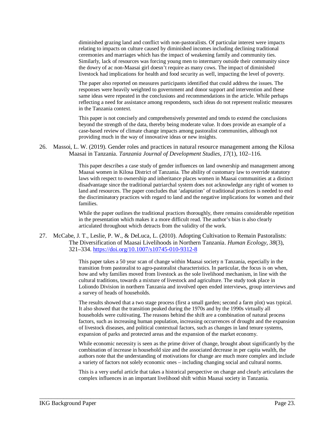diminished grazing land and conflict with non-pastoralists. Of particular interest were impacts relating to impacts on culture caused by diminished incomes including declining traditional ceremonies and marriages which has the impact of weakening family and community ties. Similarly, lack of resources was forcing young men to intermarry outside their community since the dowry of ac non-Maasai girl doesn't require as many cows. The impact of diminished livestock had implications for health and food security as well, impacting the level of poverty.

The paper also reported on measures participants identified that could address the issues. The responses were heavily weighted to government and donor support and intervention and these same ideas were repeated in the conclusions and recommendations in the article. While perhaps reflecting a need for assistance among respondents, such ideas do not represent realistic measures in the Tanzania context.

This paper is not concisely and comprehensively presented and tends to extend the conclusions beyond the strength of the data, thereby being moderate value. It does provide an example of a case-based review of climate change impacts among pastoralist communities, although not providing much in the way of innovative ideas or new insights.

26. Massoi, L. W. (2019). Gender roles and practices in natural resource management among the Kilosa Maasai in Tanzania. *Tanzania Journal of Development Studies*, *17*(1), 102–116.

> This paper describes a case study of gender influences on land ownership and management among Maasai women in Kilosa District of Tanzania. The ability of customary law to override statutory laws with respect to ownership and inheritance places women in Maasai communities at a distinct disadvantage since the traditional patriarchal system does not acknowledge any right of women to land and resources. The paper concludes that 'adaptation' of traditional practices is needed to end the discriminatory practices with regard to land and the negative implications for women and their families.

> While the paper outlines the traditional practices thoroughly, there remains considerable repetition in the presentation which makes it a more difficult read. The author's bias is also clearly articulated throughout which detracts from the validity of the work.

27. McCabe, J. T., Leslie, P. W., & DeLuca, L. (2010). Adopting Cultivation to Remain Pastoralists: The Diversification of Maasai Livelihoods in Northern Tanzania. *Human Ecology*, *38*(3), 321–334. https://doi.org/10.1007/s10745-010-9312-8

> This paper takes a 50 year scan of change within Maasai society n Tanzania, especially in the transition from pastoralist to agro-pastoralist characteristics. In particular, the focus is on when, how and why families moved from livestock as the sole livelihood mechanism, in line with the cultural traditions, towards a mixture of livestock and agriculture. The study took place in Loliondo Division in northern Tanzania and involved open ended interviews, group interviews and a survey of heads of households.

> The results showed that a two stage process (first a small garden; second a farm plot) was typical. It also showed that the transition peaked during the 1970s and by the 1990s virtually all households were cultivating. The reasons behind the shift are a combination of natural process factors, such as increasing human population, increasing occurrences of drought and the expansion of livestock diseases, and political contextual factors, such as changes in land tenure systems, expansion of parks and protected areas and the expansion of the market economy.

> While economic necessity is seen as the prime driver of change, brought about significantly by the combination of increase in household size and the associated decrease in per capita wealth, the authors note that the understanding of motivations for change are much more complex and include a variety of factors not solely economic ones – including changing social and cultural norms.

> This is a very useful article that takes a historical perspective on change and clearly articulates the complex influences in an important livelihood shift within Maasai society in Tanzania.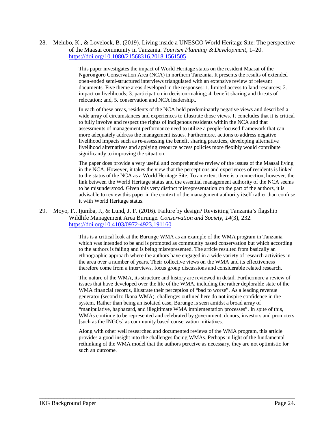28. Melubo, K., & Lovelock, B. (2019). Living inside a UNESCO World Heritage Site: The perspective of the Maasai community in Tanzania. *Tourism Planning & Development*, 1–20. https://doi.org/10.1080/21568316.2018.1561505

> This paper investigates the impact of World Heritage status on the resident Maasai of the Ngorongoro Conservation Area (NCA) in northern Tanzania. It presents the results of extended open-ended semi-structured interviews triangulated with an extensive review of relevant documents. Five theme areas developed in the responses: 1. limited access to land resources; 2. impact on livelihoods; 3. participation in decision-making; 4. benefit sharing and threats of relocation; and, 5. conservation and NCA leadership..

In each of these areas, residents of the NCA held predominantly negative views and described a wide array of circumstances and experiences to illustrate those views. It concludes that it is critical to fully involve and respect the rights of indigenous residents within the NCA and that assessments of management performance need to utilize a people-focused framework that can more adequately address the management issues. Furthermore, actions to address negative livelihood impacts such as re-assessing the benefit sharing practices, developing alternative livelihood alternatives and applying resource access policies more flexibly would contribute significantly to improving the situation.

The paper does provide a very useful and comprehensive review of the issues of the Maasai living in the NCA. However, it takes the view that the perceptions and experiences of residents is linked to the status of the NCA as a World Heritage Site. To an extent there is a connection, however, the link between the World Heritage status and the essential management authority of the NCA seems to be misunderstood. Given this very distinct misrepresentation on the part of the authors, it is advisable to review this paper in the context of the management authority itself rather than confuse it with World Heritage status.

29. Moyo, F., Ijumba, J., & Lund, J. F. (2016). Failure by design? Revisiting Tanzania's flagship Wildlife Management Area Burunge. *Conservation and Society*, *14*(3), 232. https://doi.org/10.4103/0972-4923.191160

> This is a critical look at the Burunge WMA as an example of the WMA program in Tanzania which was intended to be and is promoted as community based conservation but which according to the authors is failing and is being misrepresented. The article resulted from basically an ethnographic approach where the authors have engaged in a wide variety of research activities in the area over a number of years. Their collective views on the WMA and its effectiveness therefore come from a interviews, focus group discussions and considerable related research.

> The nature of the WMA, its structure and history are reviewed in detail. Furthermore a review of issues that have developed over the life of the WMA, including the rather deplorable state of the WMA financial records, illustrate their perception of "bad to worse". As a leading revenue generator (second to Ikona WMA), challenges outlined here do not inspire confidence in the system. Rather than being an isolated case, Burunge is seen amidst a broad array of "manipulative, haphazard, and illegitimate WMA implementation processes". In spite of this, WMAs continue to be represented and celebrated by government, donors, investors and promoters [such as the INGOs] as community based conservation initiatives.

Along with other well researched and documented reviews of the WMA program, this article provides a good insight into the challenges facing WMAs. Perhaps in light of the fundamental rethinking of the WMA model that the authors perceive as necessary, they are not optimistic for such an outcome.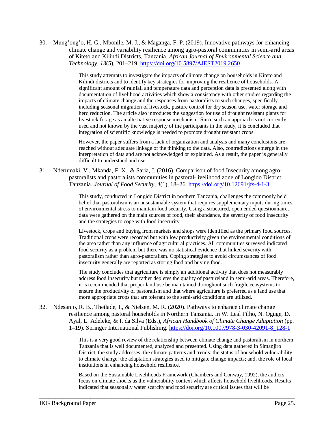30. Mung'ong'o, H. G., Mbonile, M. J., & Maganga, F. P. (2019). Innovative pathways for enhancing climate change and variability resilience among agro-pastoral communities in semi-arid areas of Kiteto and Kilindi Districts, Tanzania. *African Journal of Environmental Science and Technology*, *13*(5), 201–219. https://doi.org/10.5897/AJEST2019.2650

> This study attempts to investigate the impacts of climate change on households in Kiteto and Kilindi districts and to identify key strategies for improving the resilience of households. A significant amount of rainfall and temperature data and perception data is presented along with documentation of livelihood activities which show a consistency with other studies regarding the impacts of climate change and the responses from pastoralists to such changes, specifically including seasonal migration of livestock, pasture control for dry season use, water storage and herd reduction. The article also introduces the suggestion for use of drought resistant plants for livestock forage as an alternative response mechanism. Since such an approach is not currently used and not known by the vast majority of the participants in the study, it is concluded that integration of scientific knowledge is needed to promote drought resistant crops.

However, the paper suffers from a lack of organization and analysis and many conclusions are reached without adequate linkage of the thinking to the data. Also, contradictions emerge in the interpretation of data and are not acknowledged or explained. As a result, the paper is generally difficult to understand and use.

31. Nderumaki, V., Mkanda, F. X., & Saria, J. (2016). Comparison of food Insecurity among agropastoralists and pastoralists communities in pastoral-livelihood zone of Longido District, Tanzania. *Journal of Food Security*, *4*(1), 18–26. https://doi.org/10.12691/jfs-4-1-3

> This study, conducted in Longido District in northern Tanzania, challenges the commonly held belief that pastoralism is an unsustainable system that requires supplementary inputs during times of environmental stress to maintain food security. Using a structured, open ended questionnaire, data were gathered on the main sources of food, their abundance, the severity of food insecurity and the strategies to cope with food insecurity.

> Livestock, crops and buying from markets and shops were identified as the primary food sources. Traditional crops were recorded but with low productivity given the environmental conditions of the area rather than any influence of agricultural practices. All communities surveyed indicated food security as a problem but there was no statistical evidence that linked severity with pastoralism rather than agro-pastoralism. Coping strategies to avoid circumstances of food insecurity generally are reported as storing food and buying food.

The study concludes that agriculture is simply an additional activity that does not measurably address food insecurity but rather depletes the quality of pastureland in semi-arid areas. Therefore, it is recommended that proper land use be maintained throughout such fragile ecosystems to ensure the productivity of pastoralism and that where agriculture is preferred as a land use that more appropriate crops that are tolerant to the semi-arid conditions are utilized.

32. Ndesanjo, R. B., Theilade, I., & Nielsen, M. R. (2020). Pathways to enhance climate change resilience among pastoral households in Northern Tanzania. In W. Leal Filho, N. Oguge, D. Ayal, L. Adeleke, & I. da Silva (Eds.), *African Handbook of Climate Change Adaptation* (pp. 1–19). Springer International Publishing. https://doi.org/10.1007/978-3-030-42091-8\_128-1

\_\_\_\_\_\_\_\_\_\_\_\_\_\_\_\_\_\_\_\_\_\_\_\_\_\_\_\_\_\_\_\_\_\_\_\_\_\_\_\_\_\_\_\_\_\_\_\_\_\_\_\_\_\_\_\_\_\_\_\_\_\_\_\_\_\_\_\_\_\_\_\_\_\_\_\_\_\_\_\_\_\_\_\_\_

This is a very good review of the relationship between climate change and pastoralism in northern Tanzania that is well documented, analyzed and presented. Using data gathered in Simanjiro District, the study addresses: the climate patterns and trends: the status of household vulnerability to climate change; the adaptation strategies used to mitigate change impacts; and, the role of local institutions in enhancing household resilience.

Based on the Sustainable Livelihoods Framework (Chambers and Conway, 1992), the authors focus on climate shocks as the vulnerability context which affects household livelihoods. Results indicated that seasonally water scarcity and food security are critical issues that will be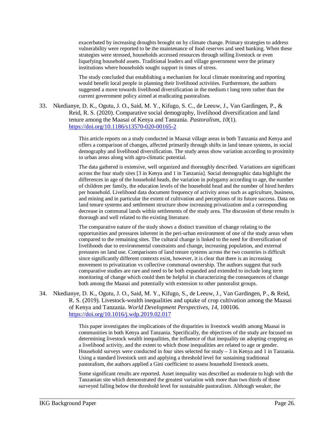exacerbated by increasing droughts brought on by climate change. Primary strategies to address vulnerability were reported to be the maintenance of food reserves and seed banking. When these strategies were stressed, households accessed resources through selling livestock or even liquefying household assets. Traditional leaders and village government were the primary institutions where households sought support in times of stress.

The study concluded that establishing a mechanism for local climate monitoring and reporting would benefit local people in planning their livelihood activities. Furthermore, the authors suggested a move towards livelihood diversification in the medium t long term rather than the current government policy aimed at eradicating pastoralism.

33. Nkedianye, D. K., Ogutu, J. O., Said, M. Y., Kifugo, S. C., de Leeuw, J., Van Gardingen, P., & Reid, R. S. (2020). Comparative social demography, livelihood diversification and land tenure among the Maasai of Kenya and Tanzania. *Pastoralism*, *10*(1). https://doi.org/10.1186/s13570-020-00165-2

> This article reports on a study conducted in Maasai village areas in both Tanzania and Kenya and offers a comparison of changes, affected primarily through shifts in land tenure systems, in social demography and livelihood diversification. The study areas show variation according to proximity to urban areas along with agro-climatic potential.

> The data gathered is extensive, well organized and thoroughly described. Variations are significant across the four study sites [3 in Kenya and 1 in Tanzania]. Social demographic data highlight the differences in age of the household heads, the variation in polygamy according to age, the number of children per family, the education levels of the household head and the number of hired herders per household. Livelihood data document frequency of activity areas such as agriculture, business, and mining and in particular the extent of cultivation and perceptions of its future success. Data on land tenure systems and settlement structure show increasing privatization and a corresponding decrease in communal lands within settlements of the study area. The discussion of these results is thorough and well related to the existing literature.

> The comparative nature of the study shows a distinct transition of change relating to the opportunities and pressures inherent in the peri-urban environment of one of the study areas when compared to the remaining sites. The cultural change is linked to the need for diversification of livelihoods due to environmental constraints and change, increasing population, and external pressures on land use. Comparisons of land tenure systems across the two countries is difficult since significantly different contexts exist, however, it is clear that there is an increasing movement to privatization vs collective communal ownership. The authors suggest that such comparative studies are rare and need to be both expanded and extended to include long term monitoring of change which could then be helpful in characterizing the consequences of change both among the Maasai and potentially with extension to other pastoralist groups.

34. Nkedianye, D. K., Ogutu, J. O., Said, M. Y., Kifugo, S., de Leeuw, J., Van Gardingen, P., & Reid, R. S. (2019). Livestock-wealth inequalities and uptake of crop cultivation among the Maasai of Kenya and Tanzania. *World Development Perspectives*, *14*, 100106. https://doi.org/10.1016/j.wdp.2019.02.017

\_\_\_\_\_\_\_\_\_\_\_\_\_\_\_\_\_\_\_\_\_\_\_\_\_\_\_\_\_\_\_\_\_\_\_\_\_\_\_\_\_\_\_\_\_\_\_\_\_\_\_\_\_\_\_\_\_\_\_\_\_\_\_\_\_\_\_\_\_\_\_\_\_\_\_\_\_\_\_\_\_\_\_\_\_

This paper investigates the implications of the disparities in livestock wealth among Maasai in communities in both Kenya and Tanzania. Specifically, the objectives of the study are focused on determining livestock wealth inequalities, the influence of that inequality on adopting cropping as a livelihood activity, and the extent to which those inequalities are related to age or gender. Household surveys were conducted in four sites selected for study – 3 in Kenya and 1 in Tanzania. Using a standard livestock unit and applying a threshold level for sustaining traditional pastoralism, the authors applied a Gini coefficient to assess household livestock assets.

Some significant results are reported. Asset inequality was described as moderate to high with the Tanzanian site which demonstrated the greatest variation with more than two thirds of those surveyed falling below the threshold level for sustainable pastoralism. Although weaker, the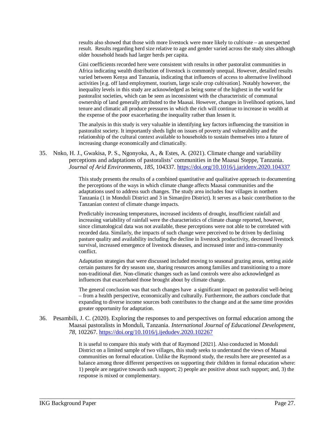results also showed that those with more livestock were more likely to cultivate – an unexpected result. Results regarding herd size relative to age and gender varied across the study sites although older household heads had larger herds per capita.

Gini coefficients recorded here were consistent with results in other pastoralist communities in Africa indicating wealth distribution of livestock is commonly unequal. However, detailed results varied between Kenya and Tanzania, indicating that influences of access to alternative livelihood activities [e.g. off land employment, tourism, large scale crop cultivation]. Notably however, the inequality levels in this study are acknowledged as being some of the highest in the world for pastoralist societies, which can be seen as inconsistent with the characteristic of communal ownership of land generally attributed to the Maasai. However, changes in livelihood options, land tenure and climatic all produce pressures in which the rich will continue to increase in wealth at the expense of the poor exacerbating the inequality rather than lessen it.

The analysis in this study is very valuable in identifying key factors influencing the transition in pastoralist society. It importantly sheds light on issues of poverty and vulnerability and the relationship of the cultural context available to households to sustain themselves into a future of increasing change economically and climatically.

35. Nnko, H. J., Gwakisa, P. S., Ngonyoka, A., & Estes, A. (2021). Climate change and variability perceptions and adaptations of pastoralists' communities in the Maasai Steppe, Tanzania. *Journal of Arid Environments*, *185*, 104337. https://doi.org/10.1016/j.jaridenv.2020.104337

> This study presents the results of a combined quantitative and qualitative approach to documenting the perceptions of the ways in which climate change affects Maasai communities and the adaptations used to address such changes. The study area includes four villages in northern Tanzania (1 in Monduli District and 3 in Simanjiro District). It serves as a basic contribution to the Tanzanian context of climate change impacts.

> Predictably increasing temperatures, increased incidents of drought, insufficient rainfall and increasing variability of rainfall were the characteristics of climate change reported, however, since climatological data was not available, these perceptions were not able to be correlated with recorded data. Similarly, the impacts of such change were perceived to be driven by declining pasture quality and availability including the decline in livestock productivity, decreased livestock survival, increased emergence of livestock diseases, and increased inter and intra-community conflict.

> Adaptation strategies that were discussed included moving to seasonal grazing areas, setting aside certain pastures for dry season use, sharing resources among families and transitioning to a more non-traditional diet. Non-climatic changes such as land controls were also acknowledged as influences that exacerbated those brought about by climate change.

> The general conclusion was that such changes have a significant impact on pastoralist well-being – from a health perspective, economically and culturally. Furthermore, the authors conclude that expanding to diverse income sources both contributes to the change and at the same time provides greater opportunity for adaptation.

36. Pesambili, J. C. (2020). Exploring the responses to and perspectives on formal education among the Maasai pastoralists in Monduli, Tanzania. *International Journal of Educational Development*, *78*, 102267. https://doi.org/10.1016/j.ijedudev.2020.102267

\_\_\_\_\_\_\_\_\_\_\_\_\_\_\_\_\_\_\_\_\_\_\_\_\_\_\_\_\_\_\_\_\_\_\_\_\_\_\_\_\_\_\_\_\_\_\_\_\_\_\_\_\_\_\_\_\_\_\_\_\_\_\_\_\_\_\_\_\_\_\_\_\_\_\_\_\_\_\_\_\_\_\_\_\_

It is useful to compare this study with that of Raymond [2021]. Also conducted in Monduli District on a limited sample of two villages, this study seeks to understand the views of Maasai communities on formal education. Unlike the Raymond study, the results here are presented as a balance among three different perspectives on supporting their children in formal education where: 1) people are negative towards such support; 2) people are positive about such support; and, 3) the response is mixed or complementary.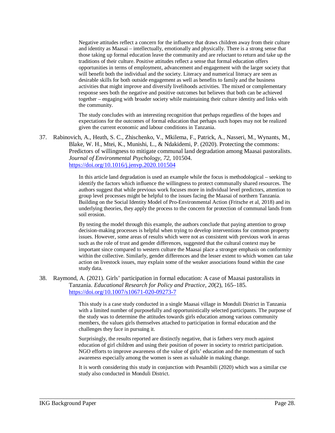Negative attitudes reflect a concern for the influence that draws children away from their culture and identity as Maasai – intellectually, emotionally and physically. There is a strong sense that those taking up formal education leave the community and are reluctant to return and take up the traditions of their culture. Positive attitudes reflect a sense that formal education offers opportunities in terms of employment, advancement and engagement with the larger society that will benefit both the individual and the society. Literacy and numerical literacy are seen as desirable skills for both outside engagement as well as benefits to family and the business activities that might improve and diversify livelihoods activities. The mixed or complementary response sees both the negative and positive outcomes but believes that both can be achieved together – engaging with broader society while maintaining their culture identity and links with the community.

The study concludes with an interesting recognition that perhaps regardless of the hopes and expectations for the outcomes of formal education that perhaps such hopes may not be realized given the current economic and labour conditions in Tanzania.

37. Rabinovich, A., Heath, S. C., Zhischenko, V., Mkilema, F., Patrick, A., Nasseri, M., Wynants, M., Blake, W. H., Mtei, K., Munishi, L., & Ndakidemi, P. (2020). Protecting the commons: Predictors of willingness to mitigate communal land degradation among Maasai pastoralists. *Journal of Environmental Psychology*, *72*, 101504. https://doi.org/10.1016/j.jenvp.2020.101504

> In this article land degradation is used an example while the focus is methodological – seeking to identify the factors which influence the willingness to protect communally shared resources. The authors suggest that while previous work focuses more in individual level predictors, attention to group level processes might be helpful to the issues facing the Maasai of northern Tanzania. Building on the Social Identity Model of Pro-Environmental Action (Fritsche et al, 2018) and its underlying theories, they apply the process to the concern for protection of communal lands from soil erosion.

> By testing the model through this example, the authors conclude that paying attention to group decision-making processes is helpful when trying to develop interventions for common property issues. However, some areas of results which were not as consistent with previous work in areas such as the role of trust and gender differences, suggested that the cultural context may be important since compared to western culture the Maasai place a stronger emphasis on conformity within the collective. Similarly, gender differences and the lesser extent to which women can take action on livestock issues, may explain some of the weaker associations found within the case study data.

38. Raymond, A. (2021). Girls' participation in formal education: A case of Maasai pastoralists in Tanzania. *Educational Research for Policy and Practice*, *20*(2), 165–185. https://doi.org/10.1007/s10671-020-09273-7

> This study is a case study conducted in a single Maasai village in Monduli District in Tanzania with a limited number of purposefully and opportunistically selected participants. The purpose of the study was to determine the attitudes towards girls education among various community members, the values girls themselves attached to participation in formal education and the challenges they face in pursuing it.

Surprisingly, the results reported are distinctly negative, that is fathers very much against education of girl children and using their position of power in society to restrict participation. NGO efforts to improve awareness of the value of girls' education and the momentum of such awareness especially among the women is seen as valuable in making change.

It is worth considering this study in conjunction with Pesambili (2020) which was a similar cse study also conducted in Monduli District.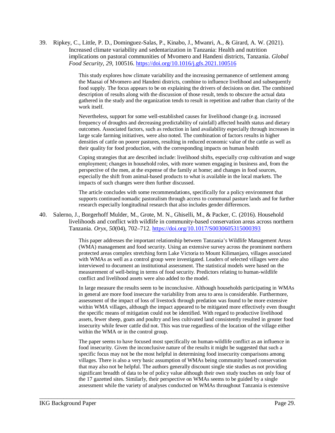39. Ripkey, C., Little, P. D., Dominguez-Salas, P., Kinabo, J., Mwanri, A., & Girard, A. W. (2021). Increased climate variability and sedentarization in Tanzania: Health and nutrition implications on pastoral communities of Mvomero and Handeni districts, Tanzania. *Global Food Security*, *29*, 100516. https://doi.org/10.1016/j.gfs.2021.100516

> This study explores how climate variability and the increasing permanence of settlement among the Maasai of Mvomero and Handeni districts, combine to influence livelihood and subsequently food supply. The focus appears to be on explaining the drivers of decisions on diet. The combined description of results along with the discussion of those result, tends to obscure the actual data gathered in the study and the organization tends to result in repetition and rather than clarity of the work itself.

> Nevertheless, support for some well-established causes for livelihood change (e.g. increased frequency of droughts and decreasing predictability of rainfall) affected health status and dietary outcomes. Associated factors, such as reduction in land availability especially through increases in large scale farming initiatives, were also noted. The combination of factors results in higher densities of cattle on poorer pastures, resulting in reduced economic value of the cattle as well as their quality for food production, with the corresponding impacts on human health

> Coping strategies that are described include: livelihood shifts, especially crop cultivation and wage employment; changes in household roles, with more women engaging in business and, from the perspective of the men, at the expense of the family at home; and changes in food sources, especially the shift from animal-based products to what is available in the local markets. The impacts of such changes were then further discussed.

> The article concludes with some recommendations, specifically for a policy environment that supports continued nomadic pastoralism through access to communal pasture lands and for further research especially longitudinal research that also includes gender differences.

40. Salerno, J., Borgerhoff Mulder, M., Grote, M. N., Ghiselli, M., & Packer, C. (2016). Household livelihoods and conflict with wildlife in community-based conservation areas across northern Tanzania. *Oryx*, *50*(04), 702–712. https://doi.org/10.1017/S0030605315000393

> This paper addresses the important relationship between Tanzania's Wildlife Management Areas (WMA) management and food security. Using an extensive survey across the prominent northern protected areas complex stretching form Lake Victoria to Mount Kilimanjaro, villages associated with WMAs as well as a control group were investigated. Leaders of selected villages were also interviewed to document an institutional assessment. The statistical models were based on the measurement of well-being in terms of food security. Predictors relating to human-wildlife conflict and livelihood assets were also added to the model.

In large measure the results seem to be inconclusive. Although households participating in WMAs in general are more food insecure the variability from area to area is considerable. Furthermore, assessment of the impact of loss of livestock through predation was found to be more extensive within WMA villages, although the impact appeared to be mitigated more effectively even thought the specific means of mitigation could not be identified. With regard to productive livelihood assets, fewer sheep, goats and poultry and less cultivated land consistently resulted in greater food insecurity while fewer cattle did not. This was true regardless of the location of the village either within the WMA or in the control group.

The paper seems to have focused most specifically on human-wildlife conflict as an influence in food insecurity. Given the inconclusive nature of the results it might be suggested that such a specific focus may not be the most helpful in determining food insecurity comparisons among villages. There is also a very basic assumption of WMAs being community based conservation that may also not be helpful. The authors generally discount single stie studies as not providing significant breadth of data to be of policy value although their own study touches on only four of the 17 gazetted sites. Similarly, their perspective on WMAs seems to be guided by a single assessment while the variety of analyses conducted on WMAs throughout Tanzania is extensive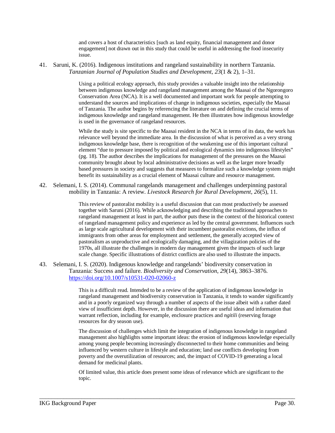and covers a host of characteristics [such as land equity, financial management and donor engagement] not drawn out in this study that could be useful in addressing the food insecurity issue.

41. Saruni, K. (2016). Indigenous institutions and rangeland sustainability in northern Tanzania. *Tanzanian Journal of Population Studies and Development*, *23*(1 & 2), 1–31.

> Using a political ecology approach, this study provides a valuable insight into the relationship between indigenous knowledge and rangeland management among the Maasai of the Ngorongoro Conservation Area (NCA). It is a well documented and important work for people attempting to understand the sources and implications of change in indigenous societies, especially the Maasai of Tanzania. The author begins by referencing the literature on and defining the crucial terms of indigenous knowledge and rangeland management. He then illustrates how indigenous knowledge is used in the governance of rangeland resources.

> While the study is site specific to the Maasai resident in the NCA in terms of its data, the work has relevance well beyond the immediate area. In the discussion of what is perceived as a very strong indigenous knowledge base, there is recognition of the weakening use of this important cultural element "due to pressure imposed by political and ecological dynamics into indigenous lifestyles" (pg. 18). The author describes the implications for management of the pressures on the Maasai community brought about by local administrative decisions as well as the larger more broadly based pressures in society and suggests that measures to formalize such a knowledge system might benefit its sustainability as a crucial element of Maasai culture and resource management.

42. Selemani, I. S. (2014). Communal rangelands management and challenges underpinning pastoral mobility in Tanzania: A review. *Livestock Research for Rural Development*, *26*(5), 11.

> This review of pastoralist mobility is a useful discussion that can most productively be assessed together with Saruni (2016). While acknowledging and describing the traditional approaches to rangeland management at least in part, the author puts these in the context of the historical context of rangeland management policy and experience as led by the central government. Influences such as large scale agricultural development with their incumbent pastoralist evictions, the influx of immigrants from other areas for employment and settlement, the generally accepted view of pastoralism as unproductive and ecologically damaging, and the villagization policies of the 1970s, all illustrate the challenges in modern day management given the impacts of such large scale change. Specific illustrations of district conflicts are also used to illustrate the impacts.

43. Selemani, I. S. (2020). Indigenous knowledge and rangelands' biodiversity conservation in Tanzania: Success and failure. *Biodiversity and Conservation*, *29*(14), 3863–3876. https://doi.org/10.1007/s10531-020-02060-z

> This is a difficult read. Intended to be a review of the application of indigenous knowledge in rangeland management and biodiversity conservation in Tanzania, it tends to wander significantly and in a poorly organized way through a number of aspects of the issue albeit with a rather dated view of insufficient depth. However, in the discussion there are useful ideas and information that warrant reflection, including for example, enclosure practices and *ngitili* (reserving forage resources for dry season use).

> The discussion of challenges which limit the integration of indigenous knowledge in rangeland management also highlights some important ideas: the erosion of indigenous knowledge especially among young people becoming increasingly disconnected to their home communities and being influenced by western culture in lifestyle and education; land use conflicts developing from poverty and the overutilization of resources; and, the impact of COVID-19 generating a local demand for medicinal plants.

Of limited value, this article does present some ideas of relevance which are significant to the topic.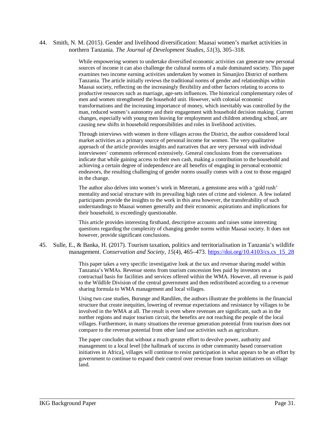44. Smith, N. M. (2015). Gender and livelihood diversification: Maasai women's market activities in northern Tanzania. *The Journal of Development Studies*, *51*(3), 305–318.

> While empowering women to undertake diversified economic activities can generate new personal sources of income it can also challenge the cultural norms of a male dominated society. This paper examines two income earning activities undertaken by women in Simanjiro District of northern Tanzania. The article initially reviews the traditional norms of gender and relationships within Maasai society, reflecting on the increasingly flexibility and other factors relating to access to productive resources such as marriage, age-sets influences. The historical complementary roles of men and women strengthened the household unit. However, with colonial economic transformations and the increasing importance of money, which inevitably was controlled by the man, reduced women's autonomy and their engagement with household decision making. Current changes, especially with young men leaving for employment and children attending school, are causing new shifts in household responsibilities and roles in livelihood activities.

Through interviews with women in three villages across the District, the author considered local market activities as a primary source of personal income for women. The very qualitative approach of the article provides insights and narratives that are very personal with individual interviewees' comments referenced extensively. General conclusions from the conversations indicate that while gaining access to their own cash, making a contribution to the household and achieving a certain degree of independence are all benefits of engaging in personal economic endeavors, the resulting challenging of gender norms usually comes with a cost to those engaged in the change.

The author also delves into women's work in Mererani, a gemstone area with a 'gold rush' mentality and social structure with its prevailing high rates of crime and violence. A few isolated participants provide the insights to the work in this area however, the transferability of such understandings to Maasai women generally and their economic aspirations and implications for their household, is exceedingly questionable.

This article provides interesting firsthand, descriptive accounts and raises some interesting questions regarding the complexity of changing gender norms within Maasai society. It does not however, provide significant conclusions.

45. Sulle, E., & Banka, H. (2017). Tourism taxation, politics and territorialisation in Tanzania's wildlife management. *Conservation and Society*, *15*(4), 465–473. https://doi.org/10.4103/cs.cs\_15\_28

> This paper takes a very specific investigative look at the tax and revenue sharing model within Tanzania's WMAs. Revenue stems from tourism concession fees paid by investors on a contractual basis for facilities and services offered within the WMA. However, all revenue is paid to the Wildlife Division of the central government and then redistributed according to a revenue sharing formula to WMA management and local villages.

> Using two case studies, Burunge and Randilen, the authors illustrate the problems in the financial structure that create inequities, lowering of revenue expectations and resistance by villages to be involved in the WMA at all. The result is even where revenues are significant, such as in the norther regions and major tourism circuit, the benefits are not reaching the people of the local villages. Furthermore, in many situations the revenue generation potential from tourism does not compare to the revenue potential from other land use activities such as agriculture.

The paper concludes that without a much greater effort to devolve power, authority and management to a local level [the hallmark of success in other community based conservation initiatives in Africa], villages will continue to resist participation in what appears to be an effort by government to continue to expand their control over revenue from tourism initiatives on village land.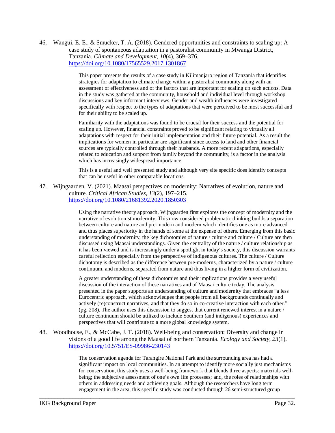46. Wangui, E. E., & Smucker, T. A. (2018). Gendered opportunities and constraints to scaling up: A case study of spontaneous adaptation in a pastoralist community in Mwanga District, Tanzania. *Climate and Development*, *10*(4), 369–376. https://doi.org/10.1080/17565529.2017.1301867

> This paper presents the results of a case study in Kilimanjaro region of Tanzania that identifies strategies for adaptation to climate change within a pastoralist community along with an assessment of effectiveness and of the factors that are important for scaling up such actions. Data in the study was gathered at the community, household and individual level through workshop discussions and key informant interviews. Gender and wealth influences were investigated specifically with respect to the types of adaptations that were perceived to be most successful and for their ability to be scaled up.

> Familiarity with the adaptations was found to be crucial for their success and the potential for scaling up. However, financial constraints proved to be significant relating to virtually all adaptations with respect for their initial implementation and their future potential. As a result the implications for women in particular are significant since access to land and other financial sources are typically controlled through their husbands. A more recent adaptations, especially related to education and support from family beyond the community, is a factor in the analysis which has increasingly widespread importance.

This is a useful and well presented study and although very site specific does identify concepts that can be useful in other comparable locations.

47. Wijngaarden, V. (2021). Maasai perspectives on modernity: Narratives of evolution, nature and culture. *Critical African Studies*, *13*(2), 197–215. https://doi.org/10.1080/21681392.2020.1850303

> Using the narrative theory approach, Wijngaarden first explores the concept of modernity and the narrative of evolutionist modernity. This now considered problematic thinking builds a separation between culture and nature and pre-modern and modern which identifies one as more advanced and thus places superiority in the hands of some at the expense of others. Emerging from this basic understanding of modernity, the key dichotomies of nature / culture and culture / Culture are then discussed using Maasai understandings. Given the centrality of the nature / culture relationship as it has been viewed and is increasingly under a spotlight in today's society, this discussion warrants careful reflection especially from the perspective of indigenous cultures. The culture / Culture dichotomy is described as the difference between pre-moderns, characterized by a nature / culture continuum, and moderns, separated from nature and thus living in a higher form of civilization.

A greater understanding of these dichotomies and their implications provides a very useful discussion of the interaction of these narratives and of Maasai culture today. The analysis presented in the paper supports an understanding of culture and modernity that embraces "a less Eurocentric approach, which acknowledges that people from all backgrounds continually and actively (re)construct narratives, and that they do so in co-creative interaction with each other." (pg. 208). The author uses this discussion to suggest that current renewed interest in a nature / culture continuum should be utilized to include Southern (and indigenous) experiences and perspectives that will contribute to a more global knowledge system.

48. Woodhouse, E., & McCabe, J. T. (2018). Well-being and conservation: Diversity and change in visions of a good life among the Maasai of northern Tanzania. *Ecology and Society*, *23*(1). https://doi.org/10.5751/ES-09986-230143

\_\_\_\_\_\_\_\_\_\_\_\_\_\_\_\_\_\_\_\_\_\_\_\_\_\_\_\_\_\_\_\_\_\_\_\_\_\_\_\_\_\_\_\_\_\_\_\_\_\_\_\_\_\_\_\_\_\_\_\_\_\_\_\_\_\_\_\_\_\_\_\_\_\_\_\_\_\_\_\_\_\_\_\_\_

The conservation agenda for Tarangire National Park and the surrounding area has had a significant impact on local communities. In an attempt to identify more socially just mechanisms for conservation, this study uses a well-being framework that blends three aspects: materials wellbeing; the subjective assessment of one's own life processes; and, the roles of relationships with others in addressing needs and achieving goals. Although the researchers have long term engagement in the area, this specific study was conducted through 26 semi-structured group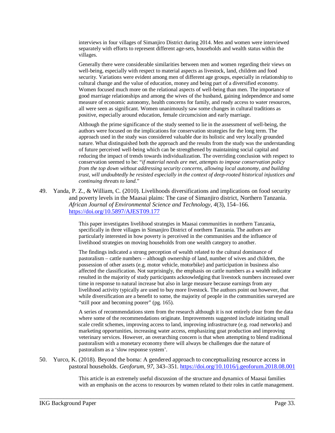interviews in four villages of Simanjiro District during 2014. Men and women were interviewed separately with efforts to represent different age-sets, households and wealth status within the villages.

Generally there were considerable similarities between men and women regarding their views on well-being, especially with respect to material aspects as livestock, land, children and food security. Variations were evident among men of different age groups, especially in relationship to cultural change and the value of education, money and being part of a diversified economy. Women focused much more on the relational aspects of well-being than men. The importance of good marriage relationships and among the wives of the husband, gaining independence and some measure of economic autonomy, health concerns for family, and ready access to water resources, all were seen as significant. Women unanimously saw some changes in cultural traditions as positive, especially around education, female circumcision and early marriage.

Although the prime significance of the study seemed to lie in the assessment of well-being, the authors were focused on the implications for conservation strategies for the long term. The approach used in the study was considered valuable due its holistic and very locally grounded nature. What distinguished both the approach and the results from the study was the understanding of future perceived well-being which can be strengthened by maintaining social capital and reducing the impact of trends towards individualization. The overriding conclusion with respect to conservation seemed to be: "*if material needs are met, attempts to impose conservation policy from the top down without addressing security concerns, allowing local autonomy, and building trust, will undoubtedly be resisted especially in the context of deep-rooted historical injustices and continuing threats to land*."

49. Yanda, P. Z., & William, C. (2010). Livelihoods diversifications and implications on food security and poverty levels in the Maasai plains: The case of Simanjiro district, Northern Tanzania. *African Journal of Environmental Science and Technology*, *4*(3), 154–166. https://doi.org/10.5897/AJEST09.177

> This paper investigates livelihood strategies in Maasai communities in northern Tanzania, specifically in three villages in Simanjiro District of northern Tanzania. The authors are particularly interested in how poverty is perceived in the communities and the influence of livelihood strategies on moving households from one wealth category to another.

The findings indicated a strong perception of wealth related to the cultural dominance of pastoralism – cattle numbers – although ownership of land, number of wives and children, the possession of other assets (e.g. motor vehicle, motorbike) and participation in business also affected the classification. Not surprisingly, the emphasis on cattle numbers as a wealth indicator resulted in the majority of study participants acknowledging that livestock numbers increased over time in response to natural increase but also in large measure because earnings from any livelihood activity typically are used to buy more livestock. The authors point out however, that while diversification are a benefit to some, the majority of people in the communities surveyed are "still poor and becoming poorer" (pg. 165).

A series of recommendations stem from the research although it is not entirely clear from the data where some of the recommendations originate. Improvements suggested include initiating small scale credit schemes, improving access to land, improving infrastructure (e.g. road networks) and marketing opportunities, increasing water access, emphasizing goat production and improving veterinary services. However, an overarching concern is that when attempting to blend traditional pastoralism with a monetary economy there will always be challenges due the nature of pastoralism as a 'slow response system'.

50. Yurco, K. (2018). Beyond the boma: A gendered approach to conceptualizing resource access in pastoral households. *Geoforum*, *97*, 343–351. https://doi.org/10.1016/j.geoforum.2018.08.001

\_\_\_\_\_\_\_\_\_\_\_\_\_\_\_\_\_\_\_\_\_\_\_\_\_\_\_\_\_\_\_\_\_\_\_\_\_\_\_\_\_\_\_\_\_\_\_\_\_\_\_\_\_\_\_\_\_\_\_\_\_\_\_\_\_\_\_\_\_\_\_\_\_\_\_\_\_\_\_\_\_\_\_\_\_

This article is an extremely useful discussion of the structure and dynamics of Maasai families with an emphasis on the access to resources by women related to their roles in cattle management.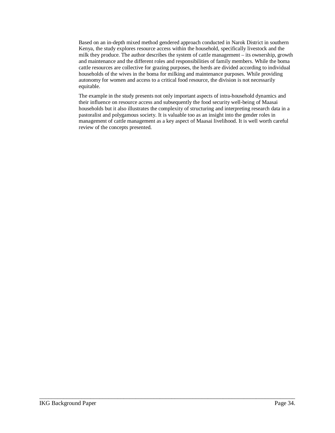Based on an in-depth mixed method gendered approach conducted in Narok District in southern Kenya, the study explores resource access within the household, specifically livestock and the milk they produce. The author describes the system of cattle management – its ownership, growth and maintenance and the different roles and responsibilities of family members. While the boma cattle resources are collective for grazing purposes, the herds are divided according to individual households of the wives in the boma for milking and maintenance purposes. While providing autonomy for women and access to a critical food resource, the division is not necessarily equitable.

The example in the study presents not only important aspects of intra-household dynamics and their influence on resource access and subsequently the food security well-being of Maasai households but it also illustrates the complexity of structuring and interpreting research data in a pastoralist and polygamous society. It is valuable too as an insight into the gender roles in management of cattle management as a key aspect of Maasai livelihood. It is well worth careful review of the concepts presented.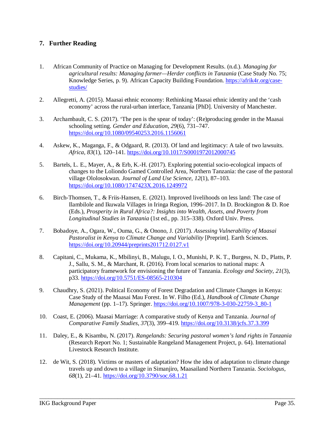#### **7. Further Reading**

- 1. African Community of Practice on Managing for Development Results. (n.d.). *Managing for agricultural results: Managing farmer—Herder conflicts in Tanzania* (Case Study No. 75; Knowledge Series, p. 9). African Capacity Building Foundation. https://afrik4r.org/casestudies/
- 2. Allegretti, A. (2015). Maasai ethnic economy: Rethinking Maasai ethnic identity and the 'cash economy' across the rural-urban interface, Tanzania [PhD]. University of Manchester.
- 3. Archambault, C. S. (2017). 'The pen is the spear of today': (Re)producing gender in the Maasai schooling setting. *Gender and Education*, *29*(6), 731–747. https://doi.org/10.1080/09540253.2016.1156061
- 4. Askew, K., Maganga, F., & Odgaard, R. (2013). Of land and legitimacy: A tale of two lawsuits. *Africa*, *83*(1), 120–141. https://doi.org/10.1017/S0001972012000745
- 5. Bartels, L. E., Mayer, A., & Erb, K.-H. (2017). Exploring potential socio-ecological impacts of changes to the Loliondo Gamed Controlled Area, Northern Tanzania: the case of the pastoral village Ololosokwan. *Journal of Land Use Science*, *12*(1), 87–103. https://doi.org/10.1080/1747423X.2016.1249972
- 6. Birch-Thomsen, T., & Friis-Hansen, E. (2021). Improved livelihoods on less land: The case of Ilambilole and Ikuwala Villages in Iringa Region, 1996–2017. In D. Brockington & D. Roe (Eds.), *Prosperity in Rural Africa?: Insights into Wealth, Assets, and Poverty from Longitudinal Studies in Tanzania* (1st ed., pp. 315–338). Oxford Univ. Press.
- 7. Bobadoye, A., Ogara, W., Ouma, G., & Onono, J. (2017). *Assessing Vulnerability of Maasai Pastoralist in Kenya to Climate Change and Variability* [Preprint]. Earth Sciences. https://doi.org/10.20944/preprints201712.0127.v1
- 8. Capitani, C., Mukama, K., Mbilinyi, B., Malugu, I. O., Munishi, P. K. T., Burgess, N. D., Platts, P. J., Sallu, S. M., & Marchant, R. (2016). From local scenarios to national maps: A participatory framework for envisioning the future of Tanzania. *Ecology and Society*, *21*(3), p33. https://doi.org/10.5751/ES-08565-210304
- 9. Chaudhry, S. (2021). Political Economy of Forest Degradation and Climate Changes in Kenya: Case Study of the Maasai Mau Forest. In W. Filho (Ed.), *Handbook of Climate Change Management* (pp. 1–17). Springer. https://doi.org/10.1007/978-3-030-22759-3\_80-1
- 10. Coast, E. (2006). Maasai Marriage: A comparative study of Kenya and Tanzania. *Journal of Comparative Family Studies*, *37*(3), 399–419. https://doi.org/10.3138/jcfs.37.3.399
- 11. Daley, E., & Kisambu, N. (2017). *Rangelands: Securing pastoral women's land rights in Tanzania* (Research Report No. 1; Sustainable Rangeland Management Project, p. 64). International Livestock Research Institute.
- 12. de Wit, S. (2018). Victims or masters of adaptation? How the idea of adaptation to climate change travels up and down to a village in Simanjiro, Maasailand Northern Tanzania. *Sociologus*, *68*(1), 21–41. https://doi.org/10.3790/soc.68.1.21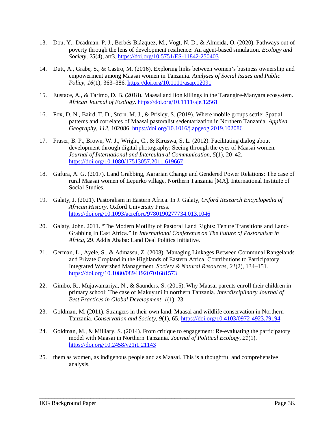- 13. Dou, Y., Deadman, P. J., Berbés-Blázquez, M., Vogt, N. D., & Almeida, O. (2020). Pathways out of poverty through the lens of development resilience: An agent-based simulation. *Ecology and Society*, *25*(4), art3. https://doi.org/10.5751/ES-11842-250403
- 14. Dutt, A., Grabe, S., & Castro, M. (2016). Exploring links between women's business ownership and empowerment among Maasai women in Tanzania. *Analyses of Social Issues and Public Policy*, *16*(1), 363–386. https://doi.org/10.1111/asap.12091
- 15. Eustace, A., & Tarimo, D. B. (2018). Maasai and lion killings in the Tarangire-Manyara ecosystem. *African Journal of Ecology*. https://doi.org/10.1111/aje.12561
- 16. Fox, D. N., Baird, T. D., Stern, M. J., & Prisley, S. (2019). Where mobile groups settle: Spatial patterns and correlates of Maasai pastoralist sedentarization in Northern Tanzania. *Applied Geography*, *112*, 102086. https://doi.org/10.1016/j.apgeog.2019.102086
- 17. Fraser, B. P., Brown, W. J., Wright, C., & Kiruswa, S. L. (2012). Facilitating dialog about development through digital photography: Seeing through the eyes of Maasai women. *Journal of International and Intercultural Communication*, *5*(1), 20–42. https://doi.org/10.1080/17513057.2011.619667
- 18. Gafura, A. G. (2017). Land Grabbing, Agrarian Change and Gendered Power Relations: The case of rural Maasai women of Lepurko village, Northern Tanzania [MA]. International Institute of Social Studies.
- 19. Galaty, J. (2021). Pastoralism in Eastern Africa. In J. Galaty, *Oxford Research Encyclopedia of African History*. Oxford University Press. https://doi.org/10.1093/acrefore/9780190277734.013.1046
- 20. Galaty, John. 2011. "The Modern Motility of Pastoral Land Rights: Tenure Transitions and Land-Grabbing In East Africa." In *International Conference on The Future of Pastoralism in Africa*, 29. Addis Ababa: Land Deal Politics Initiative.
- 21. German, L., Ayele, S., & Admassu, Z. (2008). Managing Linkages Between Communal Rangelands and Private Cropland in the Highlands of Eastern Africa: Contributions to Participatory Integrated Watershed Management. *Society & Natural Resources*, *21*(2), 134–151. https://doi.org/10.1080/08941920701681573
- 22. Gimbo, R., Mujawamariya, N., & Saunders, S. (2015). Why Maasai parents enroll their children in primary school: The case of Makuyuni in northern Tanzania. *Interdisciplinary Journal of Best Practices in Global Development*, *1*(1), 23.
- 23. Goldman, M. (2011). Strangers in their own land: Maasai and wildlife conservation in Northern Tanzania. *Conservation and Society*, *9*(1), 65. https://doi.org/10.4103/0972-4923.79194
- 24. Goldman, M., & Milliary, S. (2014). From critique to engagement: Re-evaluating the participatory model with Maasai in Northern Tanzania. *Journal of Political Ecology*, *21*(1). https://doi.org/10.2458/v21i1.21143

25. them as women, as indigenous people and as Maasai. This is a thoughtful and comprehensive analysis.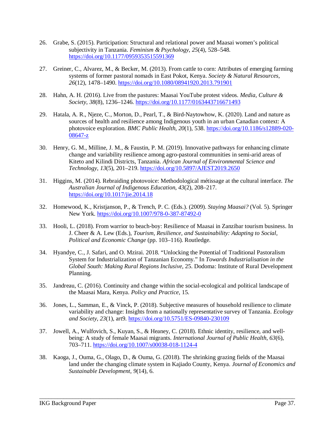- 26. Grabe, S. (2015). Participation: Structural and relational power and Maasai women's political subjectivity in Tanzania. *Feminism & Psychology*, *25*(4), 528–548. https://doi.org/10.1177/0959353515591369
- 27. Greiner, C., Alvarez, M., & Becker, M. (2013). From cattle to corn: Attributes of emerging farming systems of former pastoral nomads in East Pokot, Kenya. *Society & Natural Resources*, *26*(12), 1478–1490. https://doi.org/10.1080/08941920.2013.791901
- 28. Hahn, A. H. (2016). Live from the pastures: Maasai YouTube protest videos. *Media, Culture & Society*, *38*(8), 1236–1246. https://doi.org/10.1177/0163443716671493
- 29. Hatala, A. R., Njeze, C., Morton, D., Pearl, T., & Bird-Naytowhow, K. (2020). Land and nature as sources of health and resilience among Indigenous youth in an urban Canadian context: A photovoice exploration. *BMC Public Health*, *20*(1), 538. https://doi.org/10.1186/s12889-020- 08647-z
- 30. Henry, G. M., Milline, J. M., & Faustin, P. M. (2019). Innovative pathways for enhancing climate change and variability resilience among agro-pastoral communities in semi-arid areas of Kiteto and Kilindi Districts, Tanzania. *African Journal of Environmental Science and Technology*, *13*(5), 201–219. https://doi.org/10.5897/AJEST2019.2650
- 31. Higgins, M. (2014). Rebraiding photovoice: Methodological métissage at the cultural interface. *The Australian Journal of Indigenous Education*, *43*(2), 208–217. https://doi.org/10.1017/jie.2014.18
- 32. Homewood, K., Kristjanson, P., & Trench, P. C. (Eds.). (2009). *Staying Maasai?* (Vol. 5). Springer New York. https://doi.org/10.1007/978-0-387-87492-0
- 33. Hooli, L. (2018). From warrior to beach-boy: Resilience of Maasai in Zanzibar tourism business. In J. Cheer & A. Lew (Eds.), *Tourism, Resilience, and Sustainability: Adapting to Social, Political and Economic Change* (pp. 103–116). Routledge.
- 34. Hyandye, C., J. Safari, and O. Mzirai. 2018. "Unlocking the Potential of Traditional Pastoralism System for Industrialization of Tanzanian Economy." In *Towards Industrialisation in the Global South: Making Rural Regions Inclusive*, 25. Dodoma: Institute of Rural Development Planning.
- 35. Jandreau, C. (2016). Continuity and change within the social-ecological and political landscape of the Maasai Mara, Kenya. *Policy and Practice*, 15.
- 36. Jones, L., Samman, E., & Vinck, P. (2018). Subjective measures of household resilience to climate variability and change: Insights from a nationally representative survey of Tanzania. *Ecology and Society*, *23*(1), art9. https://doi.org/10.5751/ES-09840-230109
- 37. Jowell, A., Wulfovich, S., Kuyan, S., & Heaney, C. (2018). Ethnic identity, resilience, and wellbeing: A study of female Maasai migrants. *International Journal of Public Health*, *63*(6), 703–711. https://doi.org/10.1007/s00038-018-1124-4
- 38. Kaoga, J., Ouma, G., Olago, D., & Ouma, G. (2018). The shrinking grazing fields of the Maasai land under the changing climate system in Kajiado County, Kenya. *Journal of Economics and Sustainable Development*, *9*(14), 6.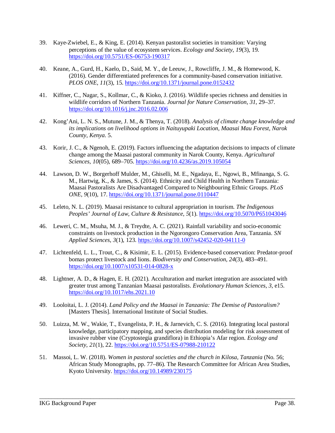- 39. Kaye-Zwiebel, E., & King, E. (2014). Kenyan pastoralist societies in transition: Varying perceptions of the value of ecosystem services. *Ecology and Society*, *19*(3), 19. https://doi.org/10.5751/ES-06753-190317
- 40. Keane, A., Gurd, H., Kaelo, D., Said, M. Y., de Leeuw, J., Rowcliffe, J. M., & Homewood, K. (2016). Gender differentiated preferences for a community-based conservation initiative. *PLOS ONE*, *11*(3), 15. https://doi.org/10.1371/journal.pone.0152432
- 41. Kiffner, C., Nagar, S., Kollmar, C., & Kioko, J. (2016). Wildlife species richness and densities in wildlife corridors of Northern Tanzania. *Journal for Nature Conservation*, *31*, 29–37. https://doi.org/10.1016/j.jnc.2016.02.006
- 42. Kong'Ani, L. N. S., Mutune, J. M., & Thenya, T. (2018). *Analysis of climate change knowledge and its implications on livelihood options in Naituyupaki Location, Maasai Mau Forest, Narok County, Kenya*. 5.
- 43. Korir, J. C., & Ngenoh, E. (2019). Factors influencing the adaptation decisions to impacts of climate change among the Maasai pastoral community in Narok County, Kenya. *Agricultural Sciences*, *10*(05), 689–705. https://doi.org/10.4236/as.2019.105054
- 44. Lawson, D. W., Borgerhoff Mulder, M., Ghiselli, M. E., Ngadaya, E., Ngowi, B., Mfinanga, S. G. M., Hartwig, K., & James, S. (2014). Ethnicity and Child Health in Northern Tanzania: Maasai Pastoralists Are Disadvantaged Compared to Neighbouring Ethnic Groups. *PLoS ONE*, *9*(10), 17. https://doi.org/10.1371/journal.pone.0110447
- 45. Leleto, N. L. (2019). Maasai resistance to cultural appropriation in tourism. *The Indigenous Peoples' Journal of Law, Culture & Resistance*, *5*(1). https://doi.org/10.5070/P651043046
- 46. Leweri, C. M., Msuha, M. J., & Treydte, A. C. (2021). Rainfall variability and socio-economic constraints on livestock production in the Ngorongoro Conservation Area, Tanzania. *SN Applied Sciences*, *3*(1), 123. https://doi.org/10.1007/s42452-020-04111-0
- 47. Lichtenfeld, L. L., Trout, C., & Kisimir, E. L. (2015). Evidence-based conservation: Predator-proof bomas protect livestock and lions. *Biodiversity and Conservation*, *24*(3), 483–491. https://doi.org/10.1007/s10531-014-0828-x
- 48. Lightner, A. D., & Hagen, E. H. (2021). Acculturation and market integration are associated with greater trust among Tanzanian Maasai pastoralists. *Evolutionary Human Sciences*, *3*, e15. https://doi.org/10.1017/ehs.2021.10
- 49. Looloitai, L. J. (2014). *Land Policy and the Maasai in Tanzania: The Demise of Pastoralism?* [Masters Thesis]. International Institute of Social Studies.
- 50. Luizza, M. W., Wakie, T., Evangelista, P. H., & Jarnevich, C. S. (2016). Integrating local pastoral knowledge, participatory mapping, and species distribution modeling for risk assessment of invasive rubber vine (Cryptostegia grandiflora) in Ethiopia's Afar region. *Ecology and Society*, *21*(1), 22. https://doi.org/10.5751/ES-07988-210122
- 51. Massoi, L. W. (2018). *Women in pastoral societies and the church in Kilosa, Tanzania* (No. 56; African Study Monographs, pp. 77–86). The Research Committee for African Area Studies, Kyoto University. https://doi.org/10.14989/230175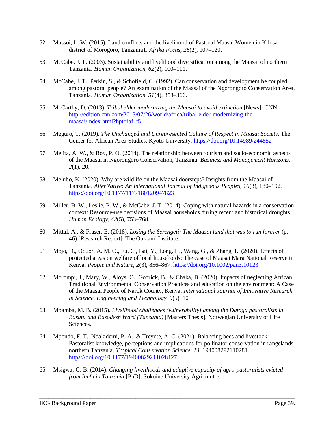- 52. Massoi, L. W. (2015). Land conflicts and the livelihood of Pastoral Maasai Women in Kilosa district of Morogoro, Tanzania1. *Afrika Focus*, *28*(2), 107–120.
- 53. McCabe, J. T. (2003). Sustainability and livelihood diversification among the Maasai of northern Tanzania. *Human Organization*, *62*(2), 100–111.
- 54. McCabe, J. T., Perkin, S., & Schofield, C. (1992). Can conservation and development be coupled among pastoral people? An examination of the Maasai of the Ngorongoro Conservation Area, Tanzania. *Human Organization*, *51*(4), 353–366.
- 55. McCarthy, D. (2013). *Tribal elder modernizing the Maasai to avoid extinction* [News]. CNN. http://edition.cnn.com/2013/07/26/world/africa/tribal-elder-modernizing-themaasai/index.html?hpt=iaf\_t5
- 56. Meguro, T. (2019). *The Unchanged and Unrepresented Culture of Respect in Maasai Society*. The Center for African Area Studies, Kyoto University. https://doi.org/10.14989/244852
- 57. Melita, A. W., & Box, P. O. (2014). The relationship between tourism and socio-economic aspects of the Maasai in Ngorongoro Conservation, Tanzania. *Business and Management Horizons*, *2*(1), 20.
- 58. Melubo, K. (2020). Why are wildlife on the Maasai doorsteps? Insights from the Maasai of Tanzania. *AlterNative: An International Journal of Indigenous Peoples*, *16*(3), 180–192. https://doi.org/10.1177/1177180120947823
- 59. Miller, B. W., Leslie, P. W., & McCabe, J. T. (2014). Coping with natural hazards in a conservation context: Resource-use decisions of Maasai households during recent and historical droughts. *Human Ecology*, *42*(5), 753–768.
- 60. Mittal, A., & Fraser, E. (2018). *Losing the Serengeti: The Maasai land that was to run forever* (p. 46) [Research Report]. The Oakland Institute.
- 61. Mojo, D., Oduor, A. M. O., Fu, C., Bai, Y., Long, H., Wang, G., & Zhang, L. (2020). Effects of protected areas on welfare of local households: The case of Maasai Mara National Reserve in Kenya. *People and Nature*, *2*(3), 856–867. https://doi.org/10.1002/pan3.10123
- 62. Morompi, J., Mary, W., Aloys, O., Godrick, B., & Chaka, B. (2020). Impacts of neglecting African Traditional Environmental Conservation Practices and education on the environment: A Case of the Maasai People of Narok County, Kenya. *International Journal of Innovative Research in Science, Engineering and Technology*, *9*(5), 10.
- 63. Mpamba, M. B. (2015). *Livelihood challenges (vulnerability) among the Datoga pastoralists in Basutu and Basodesh Ward (Tanzania)* [Masters Thesis]. Norwegian University of Life Sciences.
- 64. Mpondo, F. T., Ndakidemi, P. A., & Treydte, A. C. (2021). Balancing bees and livestock: Pastoralist knowledge, perceptions and implications for pollinator conservation in rangelands, northern Tanzania. *Tropical Conservation Science*, *14*, 194008292110281. https://doi.org/10.1177/19400829211028127

65. Msigwa, G. B. (2014). *Changing livelihoods and adaptive capacity of agro-pastoralists evicted from Ihefu in Tanzania* [PhD]. Sokoine University Agriculutre.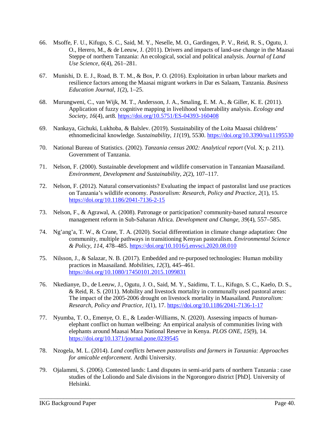- 66. Msoffe, F. U., Kifugo, S. C., Said, M. Y., Neselle, M. O., Gardingen, P. V., Reid, R. S., Ogutu, J. O., Herero, M., & de Leeuw, J. (2011). Drivers and impacts of land-use change in the Maasai Steppe of northern Tanzania: An ecological, social and political analysis. *Journal of Land Use Science*, *6*(4), 261–281.
- 67. Munishi, D. E. J., Road, B. T. M., & Box, P. O. (2016). Exploitation in urban labour markets and resilience factors among the Maasai migrant workers in Dar es Salaam, Tanzania. *Business Education Journal*, *1*(2), 1–25.
- 68. Murungweni, C., van Wijk, M. T., Andersson, J. A., Smaling, E. M. A., & Giller, K. E. (2011). Application of fuzzy cognitive mapping in livelihood vulnerability analysis. *Ecology and Society*, *16*(4), art8. https://doi.org/10.5751/ES-04393-160408
- 69. Nankaya, Gichuki, Lukhoba, & Balslev. (2019). Sustainability of the Loita Maasai childrens' ethnomedicinal knowledge. *Sustainability*, *11*(19), 5530. https://doi.org/10.3390/su11195530
- 70. National Bureau of Statistics. (2002). *Tanzania census 2002: Analytical report* (Vol. X; p. 211). Government of Tanzania.
- 71. Nelson, F. (2000). Sustainable development and wildlife conservation in Tanzanian Maasailand. *Environment, Development and Sustainability*, *2*(2), 107–117.
- 72. Nelson, F. (2012). Natural conservationists? Evaluating the impact of pastoralist land use practices on Tanzania's wildlife economy. *Pastoralism: Research, Policy and Practice*, *2*(1), 15. https://doi.org/10.1186/2041-7136-2-15
- 73. Nelson, F., & Agrawal, A. (2008). Patronage or participation? community-based natural resource management reform in Sub-Saharan Africa. *Development and Change*, *39*(4), 557–585.
- 74. Ng'ang'a, T. W., & Crane, T. A. (2020). Social differentiation in climate change adaptation: One community, multiple pathways in transitioning Kenyan pastoralism. *Environmental Science & Policy*, *114*, 478–485. https://doi.org/10.1016/j.envsci.2020.08.010
- 75. Nilsson, J., & Salazar, N. B. (2017). Embedded and re-purposed technologies: Human mobility practices in Maasailand. *Mobilities*, *12*(3), 445–461. https://doi.org/10.1080/17450101.2015.1099831
- 76. Nkedianye, D., de Leeuw, J., Ogutu, J. O., Said, M. Y., Saidimu, T. L., Kifugo, S. C., Kaelo, D. S., & Reid, R. S. (2011). Mobility and livestock mortality in communally used pastoral areas: The impact of the 2005-2006 drought on livestock mortality in Maasailand. *Pastoralism: Research, Policy and Practice*, *1*(1), 17. https://doi.org/10.1186/2041-7136-1-17
- 77. Nyumba, T. O., Emenye, O. E., & Leader-Williams, N. (2020). Assessing impacts of humanelephant conflict on human wellbeing: An empirical analysis of communities living with elephants around Maasai Mara National Reserve in Kenya. *PLOS ONE*, *15*(9), 14. https://doi.org/10.1371/journal.pone.0239545
- 78. Nzogela, M. L. (2014). *Land conflicts between pastoralists and farmers in Tanzania: Approaches for amicable enforcement*. Ardhi University.
- 79. Ojalammi, S. (2006). Contested lands: Land disputes in semi-arid parts of northern Tanzania : case studies of the Loliondo and Sale divisions in the Ngorongoro district [PhD]. University of Helsinki.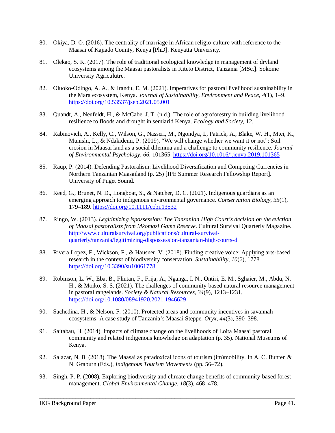- 80. Okiya, D. O. (2016). The centrality of marriage in African religio-culture with reference to the Maasai of Kajiado County, Kenya [PhD]. Kenyatta University.
- 81. Olekao, S. K. (2017). The role of traditional ecological knowledge in management of dryland ecosystems among the Maasai pastoralists in Kiteto District, Tanzania [MSc.]. Sokoine University Agriculutre.
- 82. Oluoko-Odingo, A. A., & Irandu, E. M. (2021). Imperatives for pastoral livelihood sustainability in the Mara ecosystem, Kenya. *Journal of Sustainability, Environment and Peace*, *4*(1), 1–9. https://doi.org/10.53537/jsep.2021.05.001
- 83. Quandt, A., Neufeldt, H., & McCabe, J. T. (n.d.). The role of agroforestry in building livelihood resilience to floods and drought in semiarid Kenya. *Ecology and Society*, 12.
- 84. Rabinovich, A., Kelly, C., Wilson, G., Nasseri, M., Ngondya, I., Patrick, A., Blake, W. H., Mtei, K., Munishi, L., & Ndakidemi, P. (2019). "We will change whether we want it or not": Soil erosion in Maasai land as a social dilemma and a challenge to community resilience. *Journal of Environmental Psychology*, *66*, 101365. https://doi.org/10.1016/j.jenvp.2019.101365
- 85. Raup, P. (2014). Defending Pastoralism: Livelihood Diversification and Competing Currencies in Northern Tanzanian Maasailand (p. 25) [IPE Summer Research Fellowship Report]. University of Puget Sound.
- 86. Reed, G., Brunet, N. D., Longboat, S., & Natcher, D. C. (2021). Indigenous guardians as an emerging approach to indigenous environmental governance. *Conservation Biology*, *35*(1), 179–189. https://doi.org/10.1111/cobi.13532
- 87. Ringo, W. (2013). *Legitimizing ispossession: The Tanzanian High Court's decision on the eviction of Maasai pastoralists from Mkomazi Game Reserve*. Cultural Survival Quarterly Magazine. http://www.culturalsurvival.org/publications/cultural-survivalquarterly/tanzania/legitimizing-dispossession-tanzanian-high-courts-d
- 88. Rivera Lopez, F., Wickson, F., & Hausner, V. (2018). Finding creative voice: Applying arts-based research in the context of biodiversity conservation. *Sustainability*, *10*(6), 1778. https://doi.org/10.3390/su10061778
- 89. Robinson, L. W., Eba, B., Flintan, F., Frija, A., Nganga, I. N., Ontiri, E. M., Sghaier, M., Abdu, N. H., & Moiko, S. S. (2021). The challenges of community-based natural resource management in pastoral rangelands. *Society & Natural Resources*, *34*(9), 1213–1231. https://doi.org/10.1080/08941920.2021.1946629
- 90. Sachedina, H., & Nelson, F. (2010). Protected areas and community incentives in savannah ecosystems: A case study of Tanzania's Maasai Steppe. *Oryx*, *44*(3), 390–398.
- 91. Saitabau, H. (2014). Impacts of climate change on the livelihoods of Loita Maasai pastoral community and related indigenous knowledge on adaptation (p. 35). National Museums of Kenya.
- 92. Salazar, N. B. (2018). The Maasai as paradoxical icons of tourism (im)mobility. In A. C. Bunten & N. Graburn (Eds.), *Indigenous Tourism Movements* (pp. 56–72).
- 93. Singh, P. P. (2008). Exploring biodiversity and climate change benefits of community-based forest management. *Global Environmental Change*, *18*(3), 468–478.